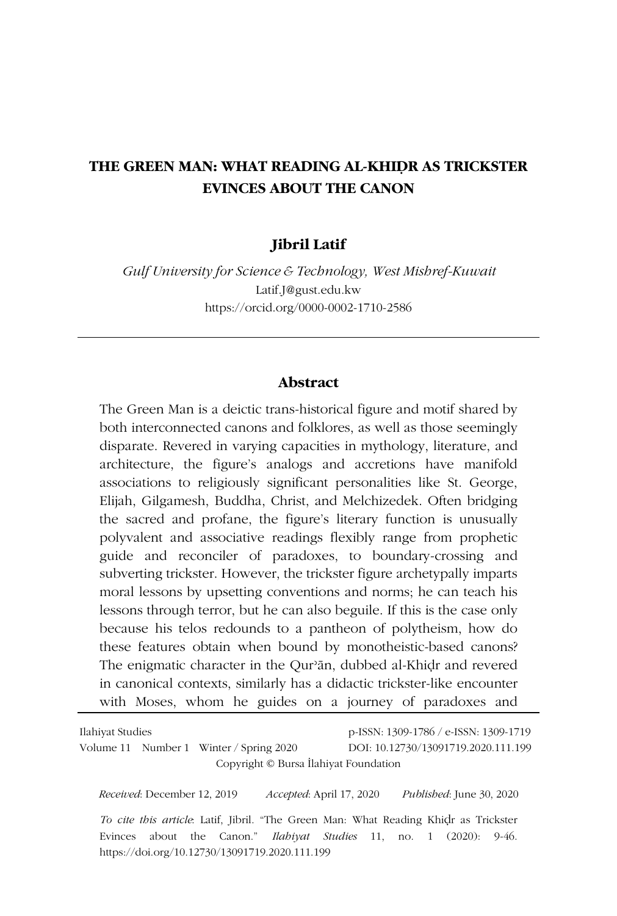## **THE GREEN MAN: WHAT READING AL-KHIḌR AS TRICKSTER EVINCES ABOUT THE CANON**

### **Jibril Latif**

*Gulf University for Science & Technology, West Mishref-Kuwait* Latif.J@gust.edu.kw https://orcid.org/0000-0002-1710-2586

#### **Abstract**

The Green Man is a deictic trans-historical figure and motif shared by both interconnected canons and folklores, as well as those seemingly disparate. Revered in varying capacities in mythology, literature, and architecture, the figure's analogs and accretions have manifold associations to religiously significant personalities like St. George, Elijah, Gilgamesh, Buddha, Christ, and Melchizedek. Often bridging the sacred and profane, the figure's literary function is unusually polyvalent and associative readings flexibly range from prophetic guide and reconciler of paradoxes, to boundary-crossing and subverting trickster. However, the trickster figure archetypally imparts moral lessons by upsetting conventions and norms; he can teach his lessons through terror, but he can also beguile. If this is the case only because his telos redounds to a pantheon of polytheism, how do these features obtain when bound by monotheistic-based canons? The enigmatic character in the Qurʾān, dubbed al-Khiḍr and revered in canonical contexts, similarly has a didactic trickster-like encounter with Moses, whom he guides on a journey of paradoxes and

| Ilahiyat Studies |  |                                         | p-ISSN: 1309-1786 / e-ISSN: 1309-1719 |
|------------------|--|-----------------------------------------|---------------------------------------|
|                  |  | Volume 11 Number 1 Winter / Spring 2020 | DOI: 10.12730/13091719.2020.111.199   |
|                  |  |                                         | Copyright © Bursa Ilahiyat Foundation |
|                  |  |                                         |                                       |

*Received*: December 12, 2019 *Accepted*: April 17, 2020 *Published*: June 30, 2020 *To cite this article*: Latif, Jibril. "The Green Man: What Reading Khiḍr as Trickster Evinces about the Canon." *Ilahiyat Studies* 11, no. 1 (2020): 9-46. https://doi.org/10.12730/13091719.2020.111.199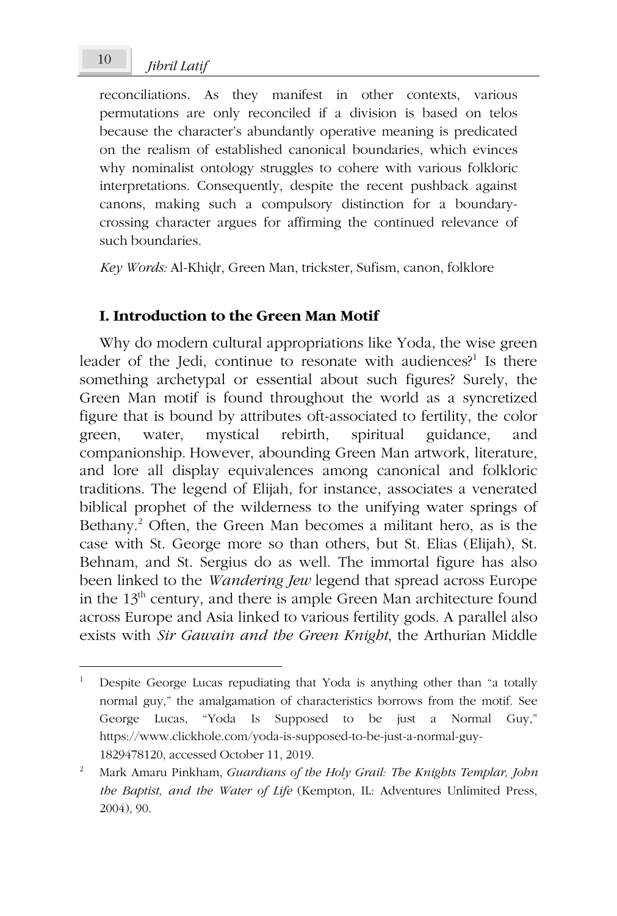*Jibril Latif* <sup>10</sup>

reconciliations. As they manifest in other contexts, various permutations are only reconciled if a division is based on telos because the character's abundantly operative meaning is predicated on the realism of established canonical boundaries, which evinces why nominalist ontology struggles to cohere with various folkloric interpretations. Consequently, despite the recent pushback against canons, making such a compulsory distinction for a boundarycrossing character argues for affirming the continued relevance of such boundaries.

*Key Words:* Al-Khiḍr, Green Man, trickster, Sufism, canon, folklore

### **I. Introduction to the Green Man Motif**

Why do modern cultural appropriations like Yoda, the wise green leader of the Jedi, continue to resonate with audiences?<sup>1</sup> Is there something archetypal or essential about such figures? Surely, the Green Man motif is found throughout the world as a syncretized figure that is bound by attributes oft-associated to fertility, the color green, water, mystical rebirth, spiritual guidance, and companionship. However, abounding Green Man artwork, literature, and lore all display equivalences among canonical and folkloric traditions. The legend of Elijah, for instance, associates a venerated biblical prophet of the wilderness to the unifying water springs of Bethany.<sup>2</sup> Often, the Green Man becomes a militant hero, as is the case with St. George more so than others, but St. Elias (Elijah), St. Behnam, and St. Sergius do as well. The immortal figure has also been linked to the *Wandering Jew* legend that spread across Europe in the 13<sup>th</sup> century, and there is ample Green Man architecture found across Europe and Asia linked to various fertility gods. A parallel also exists with *Sir Gawain and the Green Knight*, the Arthurian Middle

<sup>1</sup> Despite George Lucas repudiating that Yoda is anything other than "a totally normal guy," the amalgamation of characteristics borrows from the motif. See George Lucas, "Yoda Is Supposed to be just a Normal Guy," https://www.clickhole.com/yoda-is-supposed-to-be-just-a-normal-guy-1829478120, accessed October 11, 2019.

<sup>2</sup> Mark Amaru Pinkham, *Guardians of the Holy Grail: The Knights Templar, John the Baptist, and the Water of Life* (Kempton, IL: Adventures Unlimited Press, 2004), 90.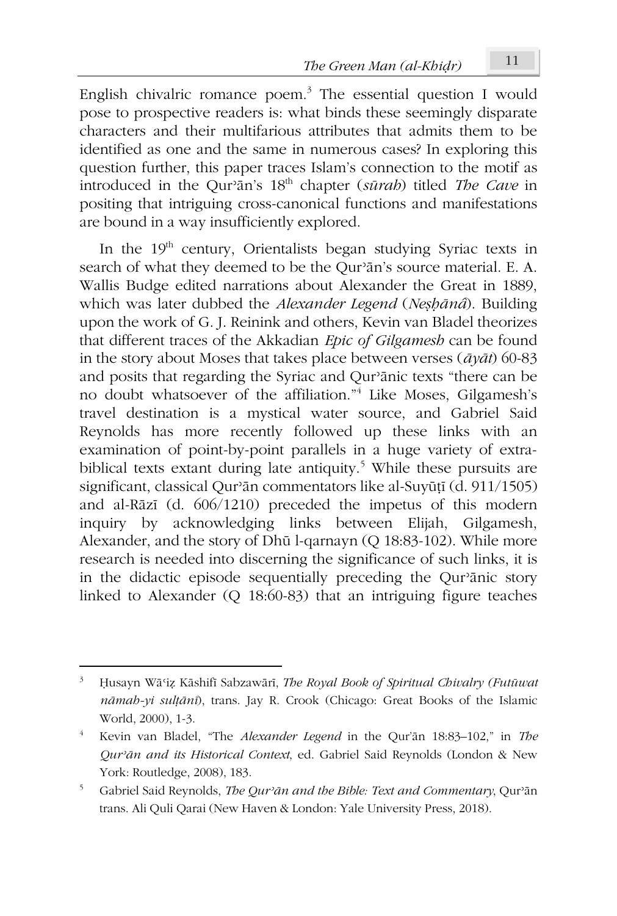English chivalric romance poem.<sup>3</sup> The essential question I would pose to prospective readers is: what binds these seemingly disparate characters and their multifarious attributes that admits them to be identified as one and the same in numerous cases? In exploring this question further, this paper traces Islam's connection to the motif as introduced in the Qurʾān's 18th chapter (*sūrah*) titled *The Cave* in positing that intriguing cross-canonical functions and manifestations are bound in a way insufficiently explored.

In the  $19<sup>th</sup>$  century, Orientalists began studying Syriac texts in search of what they deemed to be the Qurʾān's source material. E. A. Wallis Budge edited narrations about Alexander the Great in 1889, which was later dubbed the *Alexander Legend* (*Neṣḥānâ*). Building upon the work of G. J. Reinink and others, Kevin van Bladel theorizes that different traces of the Akkadian *Epic of Gilgamesh* can be found in the story about Moses that takes place between verses (*āyāt*) 60-83 and posits that regarding the Syriac and Qurʾānic texts "there can be no doubt whatsoever of the affiliation."<sup>4</sup> Like Moses, Gilgamesh's travel destination is a mystical water source, and Gabriel Said Reynolds has more recently followed up these links with an examination of point-by-point parallels in a huge variety of extrabiblical texts extant during late antiquity.<sup>5</sup> While these pursuits are significant, classical Qurʾān commentators like al-Suyūṭī (d. 911/1505) and al-Rāzī (d. 606/1210) preceded the impetus of this modern inquiry by acknowledging links between Elijah, Gilgamesh, Alexander, and the story of Dhū l-qarnayn (Q 18:83-102). While more research is needed into discerning the significance of such links, it is in the didactic episode sequentially preceding the Qurʾānic story linked to Alexander (Q 18:60-83) that an intriguing figure teaches

<sup>3</sup> Ḥusayn Wāʿiẓ Kāshifī Sabzawārī, *The Royal Book of Spiritual Chivalry (Futūwat nāmah-yi sulṭānī*), trans. Jay R. Crook (Chicago: Great Books of the Islamic World, 2000), 1-3.

<sup>4</sup> Kevin van Bladel, "The *Alexander Legend* in the Qur'ān 18:83–102," in *The Qurʾān and its Historical Context*, ed. Gabriel Said Reynolds (London & New York: Routledge, 2008), 183.

<sup>5</sup> Gabriel Said Reynolds, *The Qurʾān and the Bible: Text and Commentary*, Qurʾān trans. Ali Quli Qarai (New Haven & London: Yale University Press, 2018).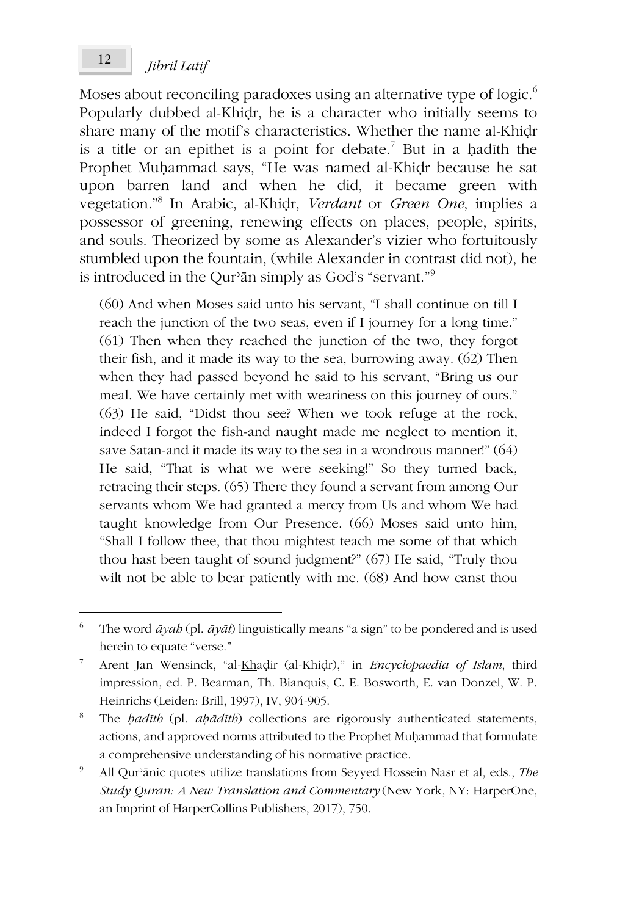# *Jibril Latif* <sup>12</sup>

Moses about reconciling paradoxes using an alternative type of logic.<sup>6</sup> Popularly dubbed al-Khiḍr, he is a character who initially seems to share many of the motif's characteristics. Whether the name al-Khidr is a title or an epithet is a point for debate.<sup>7</sup> But in a hadīth the Prophet Muḥammad says, "He was named al-Khiḍr because he sat upon barren land and when he did, it became green with vegetation."<sup>8</sup> In Arabic, al-Khiḍr, *Verdant* or *Green One*, implies a possessor of greening, renewing effects on places, people, spirits, and souls. Theorized by some as Alexander's vizier who fortuitously stumbled upon the fountain, (while Alexander in contrast did not), he is introduced in the Qurʾān simply as God's "servant."<sup>9</sup>

(60) And when Moses said unto his servant, "I shall continue on till I reach the junction of the two seas, even if I journey for a long time." (61) Then when they reached the junction of the two, they forgot their fish, and it made its way to the sea, burrowing away. (62) Then when they had passed beyond he said to his servant, "Bring us our meal. We have certainly met with weariness on this journey of ours." (63) He said, "Didst thou see? When we took refuge at the rock, indeed I forgot the fish-and naught made me neglect to mention it, save Satan-and it made its way to the sea in a wondrous manner!" (64) He said, "That is what we were seeking!" So they turned back, retracing their steps. (65) There they found a servant from among Our servants whom We had granted a mercy from Us and whom We had taught knowledge from Our Presence. (66) Moses said unto him, "Shall I follow thee, that thou mightest teach me some of that which thou hast been taught of sound judgment?" (67) He said, "Truly thou wilt not be able to bear patiently with me. (68) And how canst thou

<sup>6</sup> The word *āyah* (pl. *āyāt*) linguistically means "a sign" to be pondered and is used herein to equate "verse."

<sup>7</sup> Arent Jan Wensinck, "al-Khaḍir (al-Khiḍr)," in *Encyclopaedia of Islam*, third impression, ed. P. Bearman, Th. Bianquis, C. E. Bosworth, E. van Donzel, W. P. Heinrichs (Leiden: Brill, 1997), IV, 904-905.

<sup>8</sup> The *ḥadīth* (pl. *aḥādīth*) collections are rigorously authenticated statements, actions, and approved norms attributed to the Prophet Muḥammad that formulate a comprehensive understanding of his normative practice.

<sup>9</sup> All Qurʾānic quotes utilize translations from Seyyed Hossein Nasr et al, eds., *The Study Quran: A New Translation and Commentary* (New York, NY: HarperOne, an Imprint of HarperCollins Publishers, 2017), 750.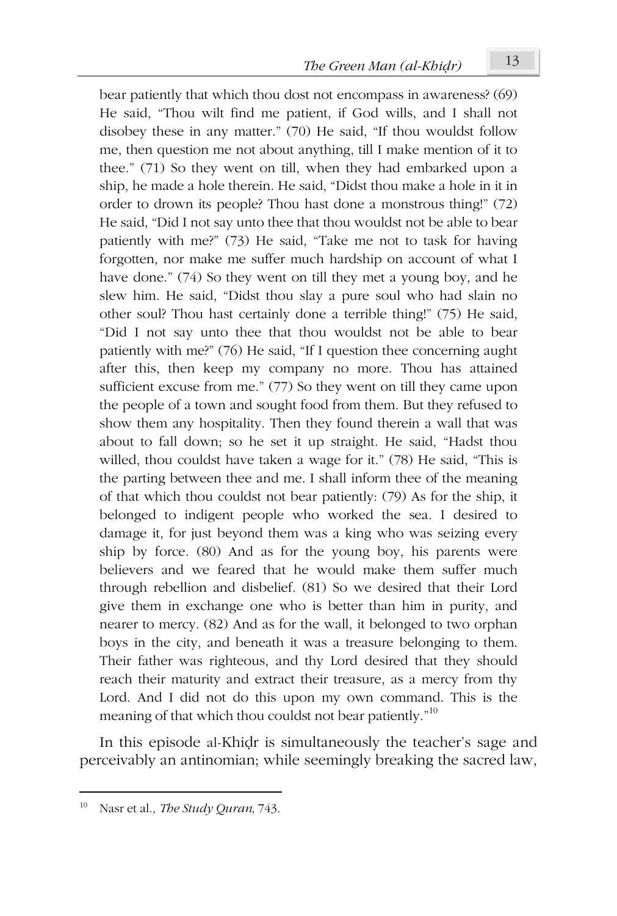bear patiently that which thou dost not encompass in awareness? (69) He said, "Thou wilt find me patient, if God wills, and I shall not disobey these in any matter." (70) He said, "If thou wouldst follow me, then question me not about anything, till I make mention of it to thee." (71) So they went on till, when they had embarked upon a ship, he made a hole therein. He said, "Didst thou make a hole in it in order to drown its people? Thou hast done a monstrous thing!" (72) He said, "Did I not say unto thee that thou wouldst not be able to bear patiently with me?" (73) He said, "Take me not to task for having forgotten, nor make me suffer much hardship on account of what I have done." (74) So they went on till they met a young boy, and he slew him. He said, "Didst thou slay a pure soul who had slain no other soul? Thou hast certainly done a terrible thing!" (75) He said, "Did I not say unto thee that thou wouldst not be able to bear patiently with me?" (76) He said, "If I question thee concerning aught after this, then keep my company no more. Thou has attained sufficient excuse from me." (77) So they went on till they came upon the people of a town and sought food from them. But they refused to show them any hospitality. Then they found therein a wall that was about to fall down; so he set it up straight. He said, "Hadst thou willed, thou couldst have taken a wage for it." (78) He said, "This is the parting between thee and me. I shall inform thee of the meaning of that which thou couldst not bear patiently: (79) As for the ship, it belonged to indigent people who worked the sea. I desired to damage it, for just beyond them was a king who was seizing every ship by force. (80) And as for the young boy, his parents were believers and we feared that he would make them suffer much through rebellion and disbelief. (81) So we desired that their Lord give them in exchange one who is better than him in purity, and nearer to mercy. (82) And as for the wall, it belonged to two orphan boys in the city, and beneath it was a treasure belonging to them. Their father was righteous, and thy Lord desired that they should reach their maturity and extract their treasure, as a mercy from thy Lord. And I did not do this upon my own command. This is the meaning of that which thou couldst not bear patiently."<sup>10</sup>

In this episode al-Khiḍr is simultaneously the teacher's sage and perceivably an antinomian; while seemingly breaking the sacred law,

Nasr et al., *The Study Quran*, 743.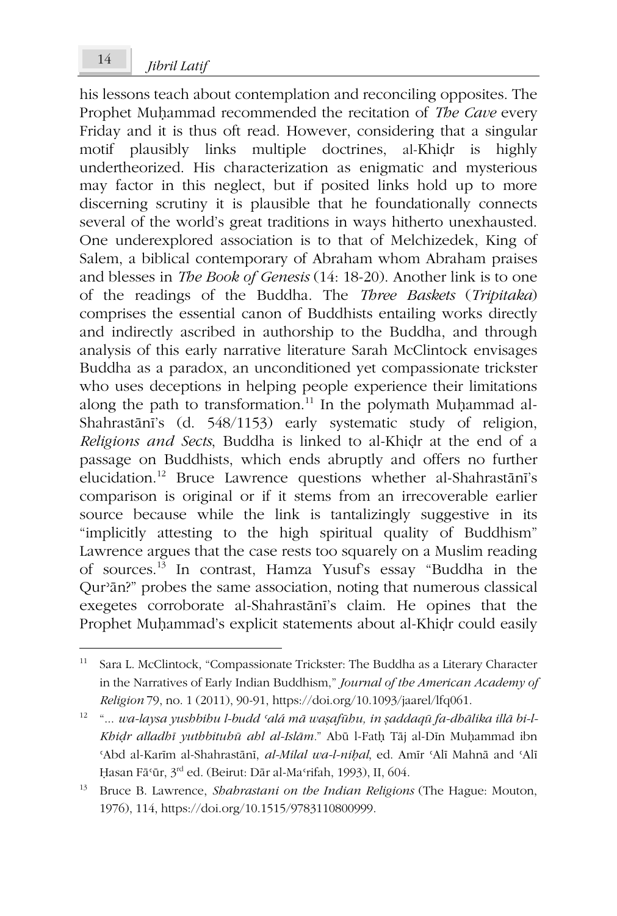his lessons teach about contemplation and reconciling opposites. The Prophet Muḥammad recommended the recitation of *The Cave* every Friday and it is thus oft read. However, considering that a singular motif plausibly links multiple doctrines, al-Khiḍr is highly undertheorized. His characterization as enigmatic and mysterious may factor in this neglect, but if posited links hold up to more discerning scrutiny it is plausible that he foundationally connects several of the world's great traditions in ways hitherto unexhausted. One underexplored association is to that of Melchizedek, King of Salem, a biblical contemporary of Abraham whom Abraham praises and blesses in *The Book of Genesis* (14: 18-20). Another link is to one of the readings of the Buddha. The *Three Baskets* (*Tripitaka*) comprises the essential canon of Buddhists entailing works directly and indirectly ascribed in authorship to the Buddha, and through analysis of this early narrative literature Sarah McClintock envisages Buddha as a paradox, an unconditioned yet compassionate trickster who uses deceptions in helping people experience their limitations along the path to transformation.<sup>11</sup> In the polymath Muḥammad al-Shahrastānī's (d. 548/1153) early systematic study of religion, *Religions and Sects*, Buddha is linked to al-Khiḍr at the end of a passage on Buddhists, which ends abruptly and offers no further elucidation.<sup>12</sup> Bruce Lawrence questions whether al-Shahrastānī's comparison is original or if it stems from an irrecoverable earlier source because while the link is tantalizingly suggestive in its "implicitly attesting to the high spiritual quality of Buddhism" Lawrence argues that the case rests too squarely on a Muslim reading of sources.<sup>13</sup> In contrast, Hamza Yusuf's essay "Buddha in the Qurʾān?" probes the same association, noting that numerous classical exegetes corroborate al-Shahrastānī's claim. He opines that the Prophet Muḥammad's explicit statements about al-Khiḍr could easily

<sup>12</sup> "... *wa-laysa yushbihu l-budd ʿalá mā waṣafūhu, in ṣaddaqū fa-dhālika illā bi-l-Khiḍr alladhī yuthbituhū ahl al-Islām.*" Abū l-Fatḥ Tāj al-Dīn Muḥammad ibn ʿAbd al-Karīm al-Shahrastānī, *al-Milal wa-l-niḥal*, ed. Amīr ʿAlī Mahnā and ʿAlī Ḥasan Fāʿūr, 3rd ed. (Beirut: Dār al-Maʿrifah, 1993), II, 604.

<sup>11</sup> Sara L. McClintock, "Compassionate Trickster: The Buddha as a Literary Character in the Narratives of Early Indian Buddhism," *Journal of the American Academy of Religion* 79, no. 1 (2011), 90-91, https://doi.org/10.1093/jaarel/lfq061.

<sup>13</sup> Bruce B. Lawrence, *Shahrastani on the Indian Religions* (The Hague: Mouton, 1976), 114, https://doi.org/10.1515/9783110800999.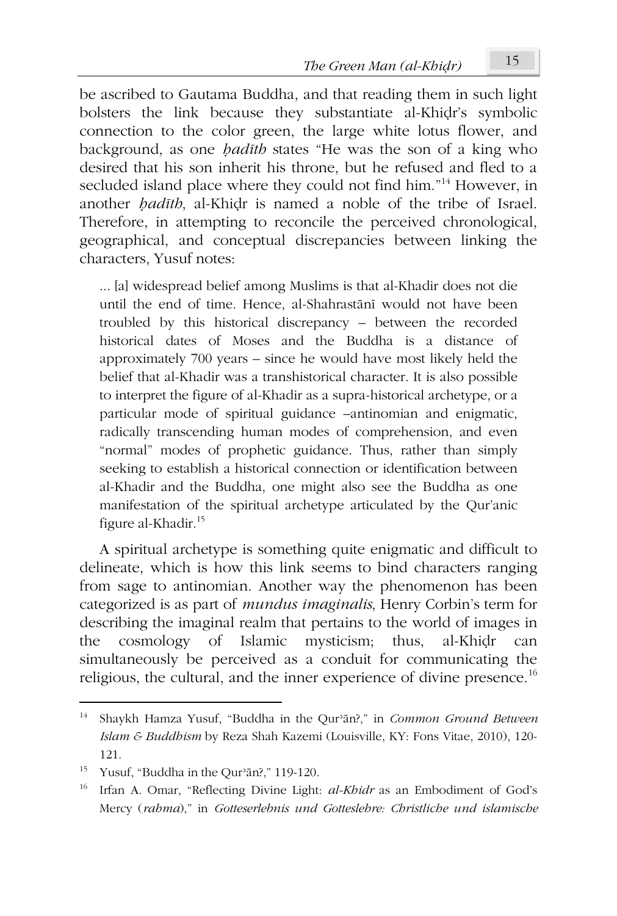be ascribed to Gautama Buddha, and that reading them in such light bolsters the link because they substantiate al-Khiḍr's symbolic connection to the color green, the large white lotus flower, and background, as one *ḥadīth* states "He was the son of a king who desired that his son inherit his throne, but he refused and fled to a secluded island place where they could not find him."<sup>14</sup> However, in another *ḥadīth*, al-Khiḍr is named a noble of the tribe of Israel. Therefore, in attempting to reconcile the perceived chronological, geographical, and conceptual discrepancies between linking the characters, Yusuf notes:

... [a] widespread belief among Muslims is that al-Khadir does not die until the end of time. Hence, al-Shahrastānī would not have been troubled by this historical discrepancy – between the recorded historical dates of Moses and the Buddha is a distance of approximately 700 years – since he would have most likely held the belief that al-Khadir was a transhistorical character. It is also possible to interpret the figure of al-Khadir as a supra-historical archetype, or a particular mode of spiritual guidance –antinomian and enigmatic, radically transcending human modes of comprehension, and even "normal" modes of prophetic guidance. Thus, rather than simply seeking to establish a historical connection or identification between al-Khadir and the Buddha, one might also see the Buddha as one manifestation of the spiritual archetype articulated by the Qur'anic figure al-Khadir.<sup>15</sup>

A spiritual archetype is something quite enigmatic and difficult to delineate, which is how this link seems to bind characters ranging from sage to antinomian. Another way the phenomenon has been categorized is as part of *mundus imaginalis*, Henry Corbin's term for describing the imaginal realm that pertains to the world of images in the cosmology of Islamic mysticism; thus, al-Khiḍr can simultaneously be perceived as a conduit for communicating the religious, the cultural, and the inner experience of divine presence.<sup>16</sup>

<sup>14</sup> Shaykh Hamza Yusuf, "Buddha in the Qurʾān?," in *Common Ground Between Islam & Buddhism* by Reza Shah Kazemi (Louisville, KY: Fons Vitae, 2010), 120- 121.

<sup>&</sup>lt;sup>15</sup> Yusuf, "Buddha in the Qur'ān?," 119-120.

<sup>16</sup> Irfan A. Omar, "Reflecting Divine Light: *al-Khidr* as an Embodiment of God's Mercy (*rahma*)," in *Gotteserlebnis und Gotteslehre: Christliche und islamische*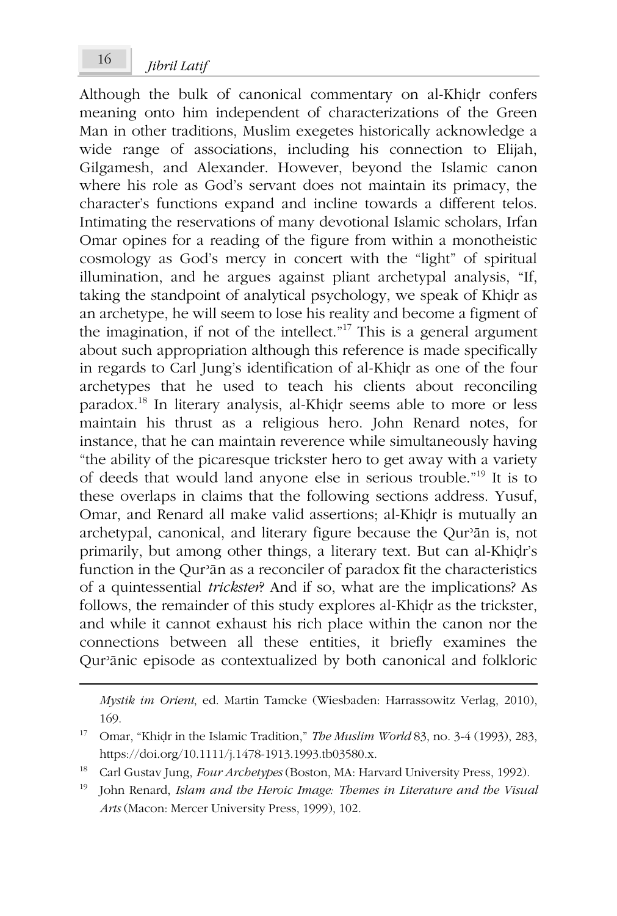Although the bulk of canonical commentary on al-Khiḍr confers meaning onto him independent of characterizations of the Green Man in other traditions, Muslim exegetes historically acknowledge a wide range of associations, including his connection to Elijah, Gilgamesh, and Alexander. However, beyond the Islamic canon where his role as God's servant does not maintain its primacy, the character's functions expand and incline towards a different telos. Intimating the reservations of many devotional Islamic scholars, Irfan Omar opines for a reading of the figure from within a monotheistic cosmology as God's mercy in concert with the "light" of spiritual illumination, and he argues against pliant archetypal analysis, "If, taking the standpoint of analytical psychology, we speak of Khiḍr as an archetype, he will seem to lose his reality and become a figment of the imagination, if not of the intellect."<sup>17</sup> This is a general argument about such appropriation although this reference is made specifically in regards to Carl Jung's identification of al-Khiḍr as one of the four archetypes that he used to teach his clients about reconciling paradox.<sup>18</sup> In literary analysis, al-Khiḍr seems able to more or less maintain his thrust as a religious hero. John Renard notes, for instance, that he can maintain reverence while simultaneously having "the ability of the picaresque trickster hero to get away with a variety of deeds that would land anyone else in serious trouble."<sup>19</sup> It is to these overlaps in claims that the following sections address. Yusuf, Omar, and Renard all make valid assertions; al-Khiḍr is mutually an archetypal, canonical, and literary figure because the Qurʾān is, not primarily, but among other things, a literary text. But can al-Khiḍr's function in the Qurʾān as a reconciler of paradox fit the characteristics of a quintessential *trickster*? And if so, what are the implications? As follows, the remainder of this study explores al-Khiḍr as the trickster, and while it cannot exhaust his rich place within the canon nor the connections between all these entities, it briefly examines the Qurʾānic episode as contextualized by both canonical and folkloric

*Mystik im Orient*, ed. Martin Tamcke (Wiesbaden: Harrassowitz Verlag, 2010), 169.

<sup>17</sup> Omar, "Khiḍr in the Islamic Tradition," *The Muslim World* 83, no. 3-4 (1993), 283, https://doi.org/10.1111/j.1478-1913.1993.tb03580.x.

<sup>18</sup> Carl Gustav Jung, *Four Archetypes* (Boston, MA: Harvard University Press, 1992).

<sup>19</sup> John Renard, *Islam and the Heroic Image: Themes in Literature and the Visual Arts* (Macon: Mercer University Press, 1999), 102.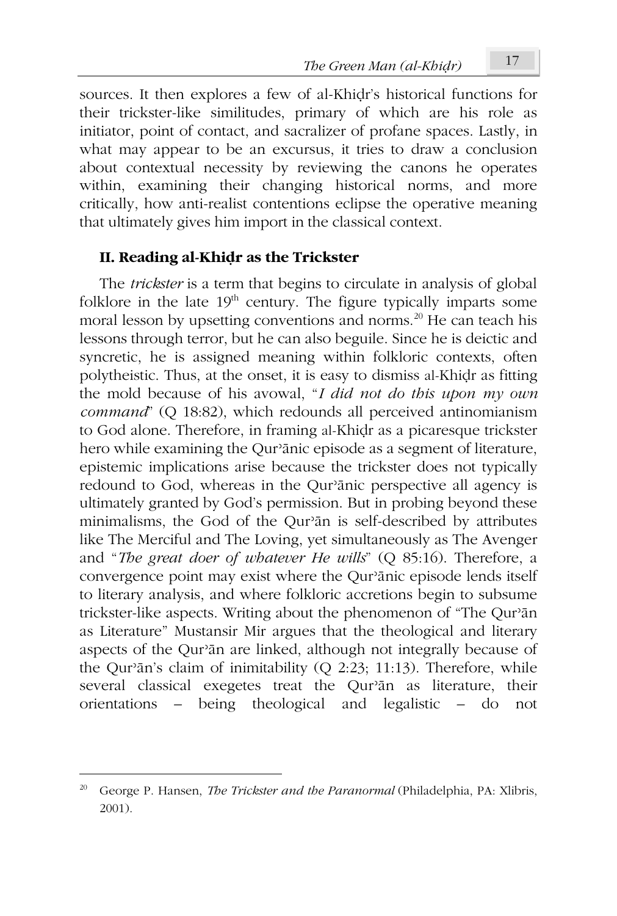sources. It then explores a few of al-Khiḍr's historical functions for their trickster-like similitudes, primary of which are his role as initiator, point of contact, and sacralizer of profane spaces. Lastly, in what may appear to be an excursus, it tries to draw a conclusion about contextual necessity by reviewing the canons he operates within, examining their changing historical norms, and more critically, how anti-realist contentions eclipse the operative meaning that ultimately gives him import in the classical context.

### **II. Reading al-Khiḍr as the Trickster**

The *trickster* is a term that begins to circulate in analysis of global folklore in the late  $19<sup>th</sup>$  century. The figure typically imparts some moral lesson by upsetting conventions and norms.<sup>20</sup> He can teach his lessons through terror, but he can also beguile. Since he is deictic and syncretic, he is assigned meaning within folkloric contexts, often polytheistic. Thus, at the onset, it is easy to dismiss al-Khiḍr as fitting the mold because of his avowal, "*I did not do this upon my own command*" (Q 18:82), which redounds all perceived antinomianism to God alone. Therefore, in framing al-Khiḍr as a picaresque trickster hero while examining the Qurʾānic episode as a segment of literature, epistemic implications arise because the trickster does not typically redound to God, whereas in the Qurʾānic perspective all agency is ultimately granted by God's permission. But in probing beyond these minimalisms, the God of the Qurʾān is self-described by attributes like The Merciful and The Loving, yet simultaneously as The Avenger and "*The great doer of whatever He wills*" (Q 85:16). Therefore, a convergence point may exist where the Qurʾānic episode lends itself to literary analysis, and where folkloric accretions begin to subsume trickster-like aspects. Writing about the phenomenon of "The Qurʾān as Literature" Mustansir Mir argues that the theological and literary aspects of the Qurʾān are linked, although not integrally because of the Qurʾān's claim of inimitability (Q 2:23; 11:13). Therefore, while several classical exegetes treat the Qur'ān as literature, their orientations – being theological and legalistic – do not

<sup>20</sup> George P. Hansen, *The Trickster and the Paranormal* (Philadelphia, PA: Xlibris, 2001).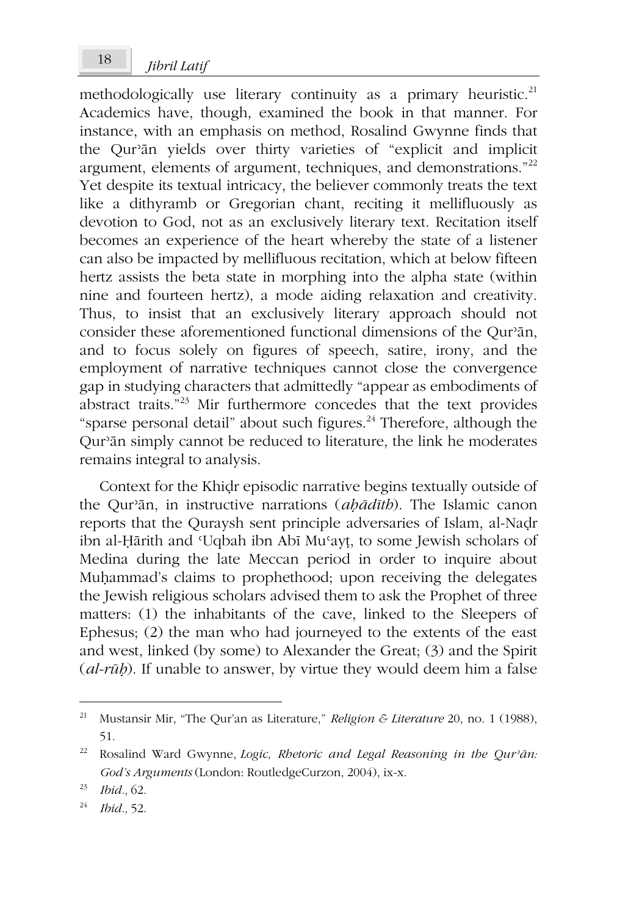methodologically use literary continuity as a primary heuristic.<sup>21</sup> Academics have, though, examined the book in that manner. For instance, with an emphasis on method, Rosalind Gwynne finds that the Qurʾān yields over thirty varieties of "explicit and implicit argument, elements of argument, techniques, and demonstrations."<sup>22</sup> Yet despite its textual intricacy, the believer commonly treats the text like a dithyramb or Gregorian chant, reciting it mellifluously as devotion to God, not as an exclusively literary text. Recitation itself becomes an experience of the heart whereby the state of a listener can also be impacted by mellifluous recitation, which at below fifteen hertz assists the beta state in morphing into the alpha state (within nine and fourteen hertz), a mode aiding relaxation and creativity. Thus, to insist that an exclusively literary approach should not consider these aforementioned functional dimensions of the Qurʾān, and to focus solely on figures of speech, satire, irony, and the employment of narrative techniques cannot close the convergence gap in studying characters that admittedly "appear as embodiments of abstract traits."<sup>23</sup> Mir furthermore concedes that the text provides "sparse personal detail" about such figures. $^{24}$  Therefore, although the Qurʾān simply cannot be reduced to literature, the link he moderates remains integral to analysis.

Context for the Khiḍr episodic narrative begins textually outside of the Qurʾān, in instructive narrations (*aḥādīth*). The Islamic canon reports that the Quraysh sent principle adversaries of Islam, al-Naḍr ibn al-Ḥārith and ʿUqbah ibn Abī Muʿayṭ, to some Jewish scholars of Medina during the late Meccan period in order to inquire about Muḥammad's claims to prophethood; upon receiving the delegates the Jewish religious scholars advised them to ask the Prophet of three matters: (1) the inhabitants of the cave, linked to the Sleepers of Ephesus; (2) the man who had journeyed to the extents of the east and west, linked (by some) to Alexander the Great; (3) and the Spirit (*al-rūḥ*). If unable to answer, by virtue they would deem him a false

<sup>21</sup> Mustansir Mir, "The Qur'an as Literature," *Religion & Literature* 20, no. 1 (1988), 51.

<sup>22</sup> Rosalind Ward Gwynne, *Logic, Rhetoric and Legal Reasoning in the Qurʾān: God's Arguments* (London: RoutledgeCurzon, 2004), ix-x.

<sup>23</sup> *Ibid.*, 62.

<sup>24</sup> *Ibid.*, 52.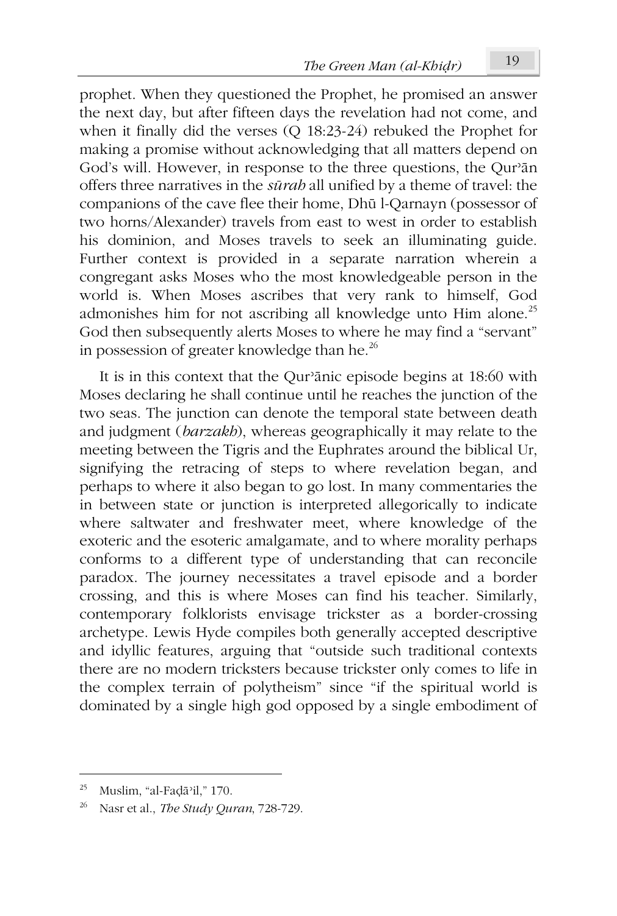prophet. When they questioned the Prophet, he promised an answer the next day, but after fifteen days the revelation had not come, and when it finally did the verses (Q 18:23-24) rebuked the Prophet for making a promise without acknowledging that all matters depend on God's will. However, in response to the three questions, the Qur'an offers three narratives in the *sūrah* all unified by a theme of travel: the companions of the cave flee their home, Dhū l-Qarnayn (possessor of two horns/Alexander) travels from east to west in order to establish his dominion, and Moses travels to seek an illuminating guide. Further context is provided in a separate narration wherein a congregant asks Moses who the most knowledgeable person in the world is. When Moses ascribes that very rank to himself, God admonishes him for not ascribing all knowledge unto Him alone.<sup>25</sup> God then subsequently alerts Moses to where he may find a "servant" in possession of greater knowledge than he.<sup>26</sup>

It is in this context that the Qurʾānic episode begins at 18:60 with Moses declaring he shall continue until he reaches the junction of the two seas. The junction can denote the temporal state between death and judgment (*barzakh*), whereas geographically it may relate to the meeting between the Tigris and the Euphrates around the biblical Ur, signifying the retracing of steps to where revelation began, and perhaps to where it also began to go lost. In many commentaries the in between state or junction is interpreted allegorically to indicate where saltwater and freshwater meet, where knowledge of the exoteric and the esoteric amalgamate, and to where morality perhaps conforms to a different type of understanding that can reconcile paradox. The journey necessitates a travel episode and a border crossing, and this is where Moses can find his teacher. Similarly, contemporary folklorists envisage trickster as a border-crossing archetype. Lewis Hyde compiles both generally accepted descriptive and idyllic features, arguing that "outside such traditional contexts there are no modern tricksters because trickster only comes to life in the complex terrain of polytheism" since "if the spiritual world is dominated by a single high god opposed by a single embodiment of

<sup>25</sup> Muslim, "al-Faḍāʾil," 170.

<sup>26</sup> Nasr et al., *The Study Quran*, 728-729.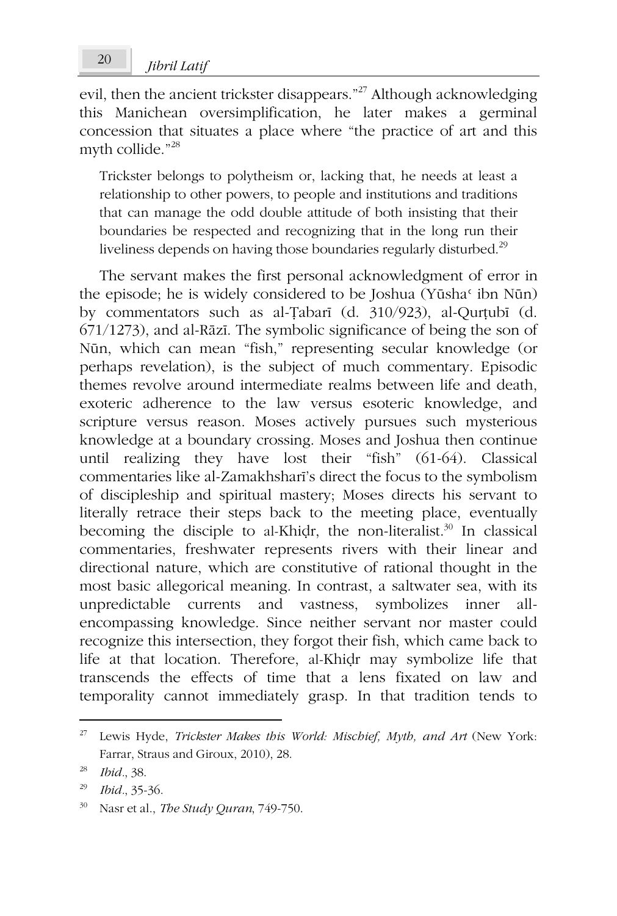evil, then the ancient trickster disappears."<sup>27</sup> Although acknowledging this Manichean oversimplification, he later makes a germinal concession that situates a place where "the practice of art and this myth collide."<sup>28</sup>

Trickster belongs to polytheism or, lacking that, he needs at least a relationship to other powers, to people and institutions and traditions that can manage the odd double attitude of both insisting that their boundaries be respected and recognizing that in the long run their liveliness depends on having those boundaries regularly disturbed.<sup>29</sup>

The servant makes the first personal acknowledgment of error in the episode; he is widely considered to be Joshua (Yūsha<sup>c</sup> ibn Nūn) by commentators such as al-Ṭabarī (d. 310/923), al-Qurṭubī (d. 671/1273), and al-Rāzī. The symbolic significance of being the son of Nūn, which can mean "fish," representing secular knowledge (or perhaps revelation), is the subject of much commentary. Episodic themes revolve around intermediate realms between life and death, exoteric adherence to the law versus esoteric knowledge, and scripture versus reason. Moses actively pursues such mysterious knowledge at a boundary crossing. Moses and Joshua then continue until realizing they have lost their "fish" (61-64). Classical commentaries like al-Zamakhsharī's direct the focus to the symbolism of discipleship and spiritual mastery; Moses directs his servant to literally retrace their steps back to the meeting place, eventually becoming the disciple to al-Khiḍr, the non-literalist. $30$  In classical commentaries, freshwater represents rivers with their linear and directional nature, which are constitutive of rational thought in the most basic allegorical meaning. In contrast, a saltwater sea, with its unpredictable currents and vastness, symbolizes inner allencompassing knowledge. Since neither servant nor master could recognize this intersection, they forgot their fish, which came back to life at that location. Therefore, al-Khiḍr may symbolize life that transcends the effects of time that a lens fixated on law and temporality cannot immediately grasp. In that tradition tends to

<sup>27</sup> Lewis Hyde, *Trickster Makes this World: Mischief, Myth, and Art* (New York: Farrar, Straus and Giroux, 2010), 28.

<sup>28</sup> *Ibid.*, 38.

<sup>29</sup> *Ibid.*, 35-36.

<sup>30</sup> Nasr et al., *The Study Quran*, 749-750.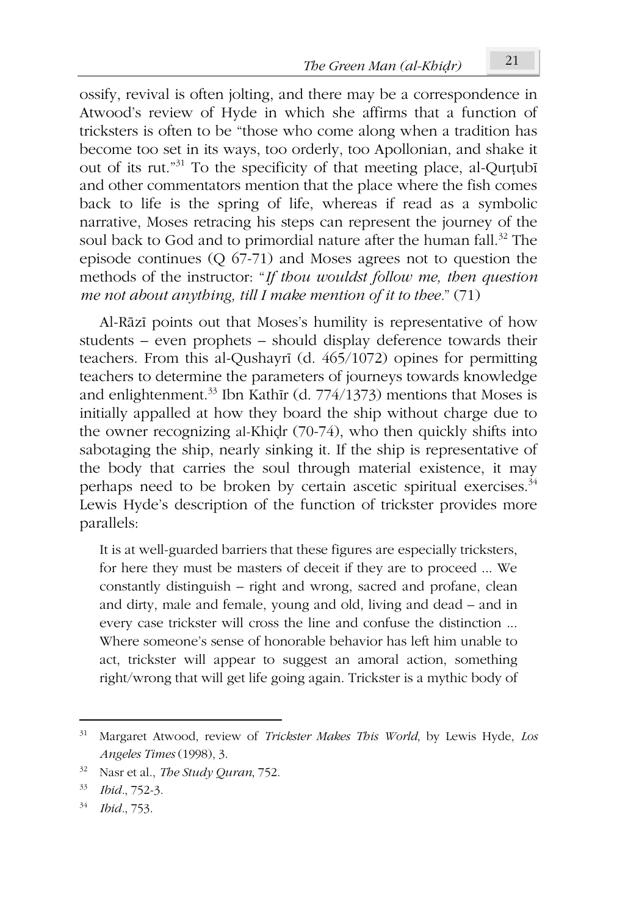ossify, revival is often jolting, and there may be a correspondence in Atwood's review of Hyde in which she affirms that a function of tricksters is often to be "those who come along when a tradition has become too set in its ways, too orderly, too Apollonian, and shake it out of its rut."<sup>31</sup> To the specificity of that meeting place, al-Qurṭubī and other commentators mention that the place where the fish comes back to life is the spring of life, whereas if read as a symbolic narrative, Moses retracing his steps can represent the journey of the soul back to God and to primordial nature after the human fall.<sup>32</sup> The episode continues (Q 67-71) and Moses agrees not to question the methods of the instructor: "*If thou wouldst follow me, then question me not about anything, till I make mention of it to thee.*" (71)

Al-Rāzī points out that Moses's humility is representative of how students – even prophets – should display deference towards their teachers. From this al-Qushayrī (d. 465/1072) opines for permitting teachers to determine the parameters of journeys towards knowledge and enlightenment.<sup>33</sup> Ibn Kathīr (d. 774/1373) mentions that Moses is initially appalled at how they board the ship without charge due to the owner recognizing al-Khiḍr (70-74), who then quickly shifts into sabotaging the ship, nearly sinking it. If the ship is representative of the body that carries the soul through material existence, it may perhaps need to be broken by certain ascetic spiritual exercises.<sup>34</sup> Lewis Hyde's description of the function of trickster provides more parallels:

It is at well-guarded barriers that these figures are especially tricksters, for here they must be masters of deceit if they are to proceed ... We constantly distinguish – right and wrong, sacred and profane, clean and dirty, male and female, young and old, living and dead – and in every case trickster will cross the line and confuse the distinction ... Where someone's sense of honorable behavior has left him unable to act, trickster will appear to suggest an amoral action, something right/wrong that will get life going again. Trickster is a mythic body of

<sup>31</sup> Margaret Atwood, review of *Trickster Makes This World*, by Lewis Hyde, *Los Angeles Times* (1998), 3.

<sup>32</sup> Nasr et al., *The Study Quran*, 752.

<sup>33</sup> *Ibid.*, 752-3.

<sup>34</sup> *Ibid.*, 753.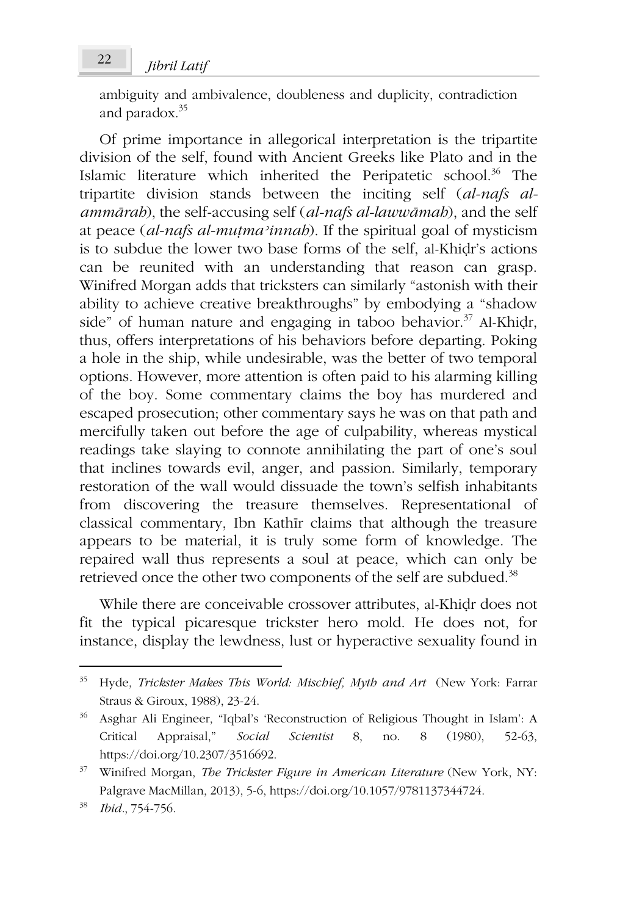ambiguity and ambivalence, doubleness and duplicity, contradiction and paradox.<sup>35</sup>

Of prime importance in allegorical interpretation is the tripartite division of the self, found with Ancient Greeks like Plato and in the Islamic literature which inherited the Peripatetic school.<sup>36</sup> The tripartite division stands between the inciting self (*al-nafs alammārah*), the self-accusing self (*al-nafs al-lawwāmah*), and the self at peace (*al-nafs al-muṭmaʾinnah*). If the spiritual goal of mysticism is to subdue the lower two base forms of the self, al-Khiḍr's actions can be reunited with an understanding that reason can grasp. Winifred Morgan adds that tricksters can similarly "astonish with their ability to achieve creative breakthroughs" by embodying a "shadow side" of human nature and engaging in taboo behavior.<sup>37</sup> Al-Khidr, thus, offers interpretations of his behaviors before departing. Poking a hole in the ship, while undesirable, was the better of two temporal options. However, more attention is often paid to his alarming killing of the boy. Some commentary claims the boy has murdered and escaped prosecution; other commentary says he was on that path and mercifully taken out before the age of culpability, whereas mystical readings take slaying to connote annihilating the part of one's soul that inclines towards evil, anger, and passion. Similarly, temporary restoration of the wall would dissuade the town's selfish inhabitants from discovering the treasure themselves. Representational of classical commentary, Ibn Kathīr claims that although the treasure appears to be material, it is truly some form of knowledge. The repaired wall thus represents a soul at peace, which can only be retrieved once the other two components of the self are subdued.<sup>38</sup>

While there are conceivable crossover attributes, al-Khiḍr does not fit the typical picaresque trickster hero mold. He does not, for instance, display the lewdness, lust or hyperactive sexuality found in

<sup>35</sup> Hyde, *Trickster Makes This World: Mischief, Myth and Art* (New York: Farrar Straus & Giroux, 1988), 23-24.

<sup>36</sup> Asghar Ali Engineer, "Iqbal's 'Reconstruction of Religious Thought in Islam': A Critical Appraisal," *Social Scientist* 8, no. 8 (1980), 52-63, https://doi.org/10.2307/3516692.

<sup>37</sup> Winifred Morgan, *The Trickster Figure in American Literature* (New York, NY: Palgrave MacMillan, 2013), 5-6, https://doi.org/10.1057/9781137344724.

<sup>38</sup> *Ibid.*, 754-756.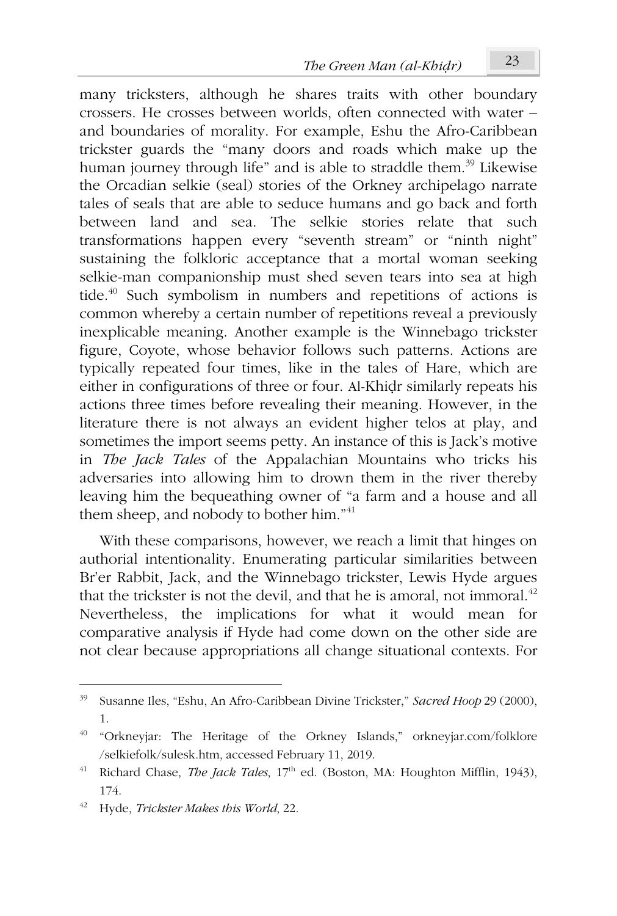many tricksters, although he shares traits with other boundary crossers. He crosses between worlds, often connected with water – and boundaries of morality. For example, Eshu the Afro-Caribbean trickster guards the "many doors and roads which make up the human journey through life" and is able to straddle them.<sup>39</sup> Likewise the Orcadian selkie (seal) stories of the Orkney archipelago narrate tales of seals that are able to seduce humans and go back and forth between land and sea. The selkie stories relate that such transformations happen every "seventh stream" or "ninth night" sustaining the folkloric acceptance that a mortal woman seeking selkie-man companionship must shed seven tears into sea at high tide.<sup>40</sup> Such symbolism in numbers and repetitions of actions is common whereby a certain number of repetitions reveal a previously inexplicable meaning. Another example is the Winnebago trickster figure, Coyote, whose behavior follows such patterns. Actions are typically repeated four times, like in the tales of Hare, which are either in configurations of three or four. Al-Khiḍr similarly repeats his actions three times before revealing their meaning. However, in the literature there is not always an evident higher telos at play, and sometimes the import seems petty. An instance of this is Jack's motive in *The Jack Tales* of the Appalachian Mountains who tricks his adversaries into allowing him to drown them in the river thereby leaving him the bequeathing owner of "a farm and a house and all them sheep, and nobody to bother him."<sup>41</sup>

With these comparisons, however, we reach a limit that hinges on authorial intentionality. Enumerating particular similarities between Br'er Rabbit, Jack, and the Winnebago trickster, Lewis Hyde argues that the trickster is not the devil, and that he is amoral, not immoral.<sup>42</sup> Nevertheless, the implications for what it would mean for comparative analysis if Hyde had come down on the other side are not clear because appropriations all change situational contexts. For

<sup>39</sup> Susanne Iles, "Eshu, An Afro-Caribbean Divine Trickster," *Sacred Hoop* 29 (2000), 1.

<sup>40</sup> "Orkneyjar: The Heritage of the Orkney Islands," orkneyjar.com/folklore /selkiefolk/sulesk.htm, accessed February 11, 2019.

<sup>&</sup>lt;sup>41</sup> Richard Chase, *The Jack Tales*, 17<sup>th</sup> ed. (Boston, MA: Houghton Mifflin, 1943), 174.

<sup>42</sup> Hyde, *Trickster Makes this World*, 22.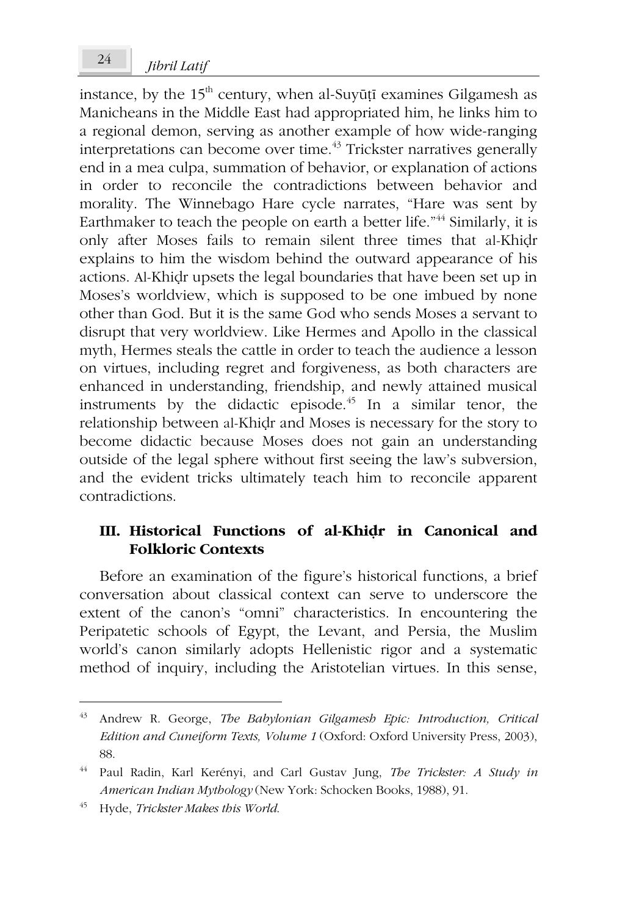instance, by the  $15<sup>th</sup>$  century, when al-Suyūṭī examines Gilgamesh as Manicheans in the Middle East had appropriated him, he links him to a regional demon, serving as another example of how wide-ranging interpretations can become over time.<sup>43</sup> Trickster narratives generally end in a mea culpa, summation of behavior, or explanation of actions in order to reconcile the contradictions between behavior and morality. The Winnebago Hare cycle narrates, "Hare was sent by Earthmaker to teach the people on earth a better life."<sup>44</sup> Similarly, it is only after Moses fails to remain silent three times that al-Khiḍr explains to him the wisdom behind the outward appearance of his actions. Al-Khiḍr upsets the legal boundaries that have been set up in Moses's worldview, which is supposed to be one imbued by none other than God. But it is the same God who sends Moses a servant to disrupt that very worldview. Like Hermes and Apollo in the classical myth, Hermes steals the cattle in order to teach the audience a lesson on virtues, including regret and forgiveness, as both characters are enhanced in understanding, friendship, and newly attained musical instruments by the didactic episode. $45$  In a similar tenor, the relationship between al-Khiḍr and Moses is necessary for the story to become didactic because Moses does not gain an understanding outside of the legal sphere without first seeing the law's subversion, and the evident tricks ultimately teach him to reconcile apparent contradictions.

### **III. Historical Functions of al-Khiḍr in Canonical and Folkloric Contexts**

Before an examination of the figure's historical functions, a brief conversation about classical context can serve to underscore the extent of the canon's "omni" characteristics. In encountering the Peripatetic schools of Egypt, the Levant, and Persia, the Muslim world's canon similarly adopts Hellenistic rigor and a systematic method of inquiry, including the Aristotelian virtues. In this sense,

<sup>43</sup> Andrew R. George, *The Babylonian Gilgamesh Epic: Introduction, Critical Edition and Cuneiform Texts, Volume 1* (Oxford: Oxford University Press, 2003), 88.

<sup>44</sup> Paul Radin, Karl Kerényi, and Carl Gustav Jung, *The Trickster: A Study in American Indian Mythology* (New York: Schocken Books, 1988), 91.

<sup>45</sup> Hyde, *Trickster Makes this World*.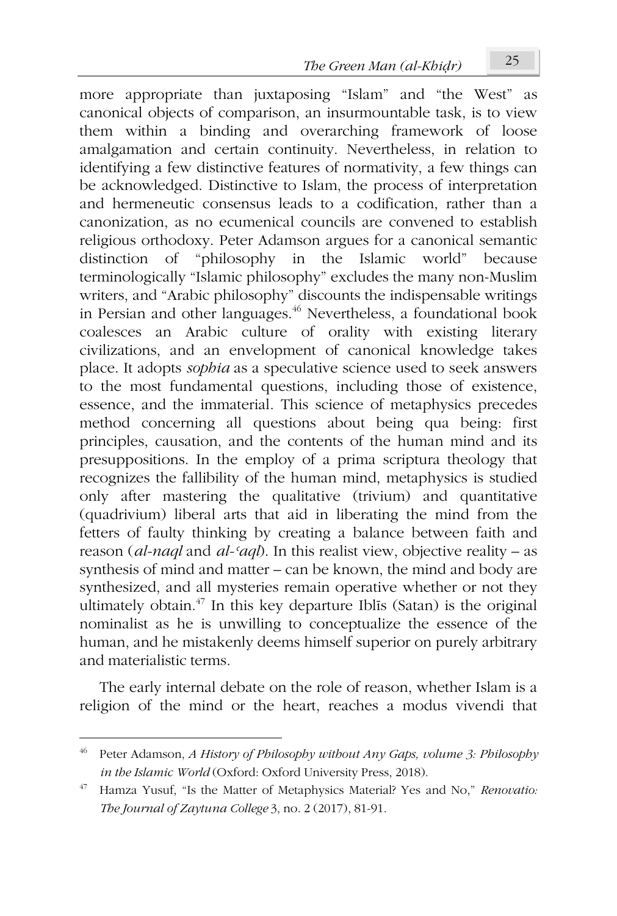more appropriate than juxtaposing "Islam" and "the West" as canonical objects of comparison, an insurmountable task, is to view them within a binding and overarching framework of loose amalgamation and certain continuity. Nevertheless, in relation to identifying a few distinctive features of normativity, a few things can be acknowledged. Distinctive to Islam, the process of interpretation and hermeneutic consensus leads to a codification, rather than a canonization, as no ecumenical councils are convened to establish religious orthodoxy. Peter Adamson argues for a canonical semantic distinction of "philosophy in the Islamic world" because terminologically "Islamic philosophy" excludes the many non-Muslim writers, and "Arabic philosophy" discounts the indispensable writings in Persian and other languages.<sup>46</sup> Nevertheless, a foundational book coalesces an Arabic culture of orality with existing literary civilizations, and an envelopment of canonical knowledge takes place. It adopts *sophia* as a speculative science used to seek answers to the most fundamental questions, including those of existence, essence, and the immaterial. This science of metaphysics precedes method concerning all questions about being qua being: first principles, causation, and the contents of the human mind and its presuppositions. In the employ of a prima scriptura theology that recognizes the fallibility of the human mind, metaphysics is studied only after mastering the qualitative (trivium) and quantitative (quadrivium) liberal arts that aid in liberating the mind from the fetters of faulty thinking by creating a balance between faith and reason (*al-naql* and *al-ʿaql*). In this realist view, objective reality – as synthesis of mind and matter – can be known, the mind and body are synthesized, and all mysteries remain operative whether or not they ultimately obtain.<sup>47</sup> In this key departure Iblīs (Satan) is the original nominalist as he is unwilling to conceptualize the essence of the human, and he mistakenly deems himself superior on purely arbitrary and materialistic terms.

The early internal debate on the role of reason, whether Islam is a religion of the mind or the heart, reaches a modus vivendi that

<sup>46</sup> Peter Adamson, *A History of Philosophy without Any Gaps, volume 3: Philosophy in the Islamic World* (Oxford: Oxford University Press, 2018).

<sup>47</sup> Hamza Yusuf, "Is the Matter of Metaphysics Material? Yes and No," *Renovatio: The Journal of Zaytuna College* 3, no. 2 (2017), 81-91.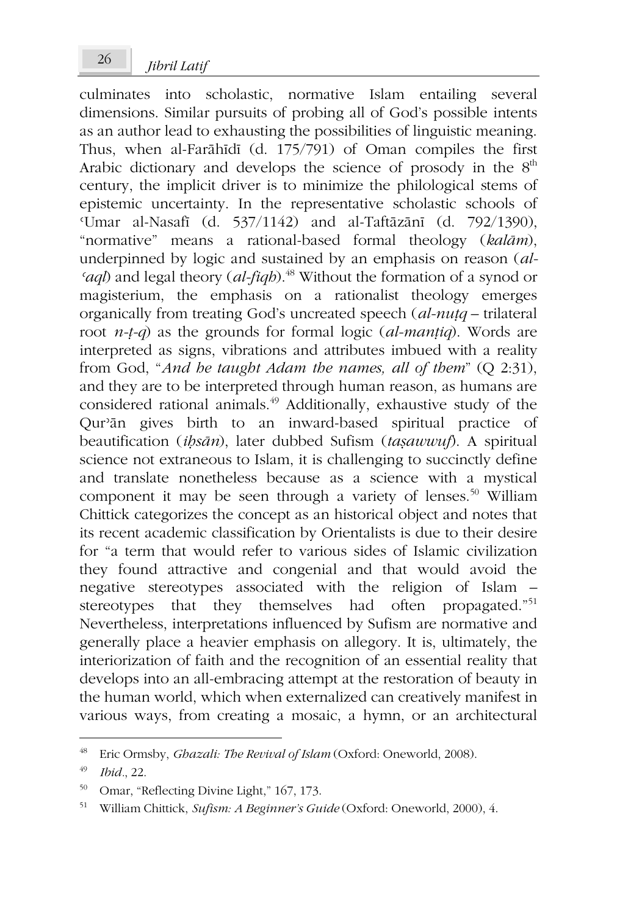culminates into scholastic, normative Islam entailing several dimensions. Similar pursuits of probing all of God's possible intents as an author lead to exhausting the possibilities of linguistic meaning. Thus, when al-Farāhīdī (d. 175/791) of Oman compiles the first Arabic dictionary and develops the science of prosody in the  $8<sup>th</sup>$ century, the implicit driver is to minimize the philological stems of epistemic uncertainty. In the representative scholastic schools of ʿUmar al-Nasafī (d. 537/1142) and al-Taftāzānī (d. 792/1390), "normative" means a rational-based formal theology (*kalām*), underpinned by logic and sustained by an emphasis on reason (*al-ʿaql*) and legal theory (*al-fiqh*).<sup>48</sup> Without the formation of a synod or magisterium, the emphasis on a rationalist theology emerges organically from treating God's uncreated speech (*al-nuṭq* – trilateral root *n-ṭ-q*) as the grounds for formal logic (*al-manṭiq*). Words are interpreted as signs, vibrations and attributes imbued with a reality from God, "*And he taught Adam the names, all of them*" (Q 2:31), and they are to be interpreted through human reason, as humans are considered rational animals.<sup>49</sup> Additionally, exhaustive study of the Qurʾān gives birth to an inward-based spiritual practice of beautification (*iḥsān*), later dubbed Sufism (*taṣawwuf*). A spiritual science not extraneous to Islam, it is challenging to succinctly define and translate nonetheless because as a science with a mystical component it may be seen through a variety of lenses.<sup>50</sup> William Chittick categorizes the concept as an historical object and notes that its recent academic classification by Orientalists is due to their desire for "a term that would refer to various sides of Islamic civilization they found attractive and congenial and that would avoid the negative stereotypes associated with the religion of Islam – stereotypes that they themselves had often propagated."<sup>51</sup> stereotypes that they themselves had Nevertheless, interpretations influenced by Sufism are normative and generally place a heavier emphasis on allegory. It is, ultimately, the interiorization of faith and the recognition of an essential reality that develops into an all-embracing attempt at the restoration of beauty in the human world, which when externalized can creatively manifest in various ways, from creating a mosaic, a hymn, or an architectural

<sup>48</sup> Eric Ormsby, *Ghazali: The Revival of Islam* (Oxford: Oneworld, 2008).

<sup>49</sup> *Ibid.*, 22.

<sup>50</sup> Omar, "Reflecting Divine Light," 167, 173.

<sup>51</sup> William Chittick, *Sufism: A Beginner's Guide* (Oxford: Oneworld, 2000), 4.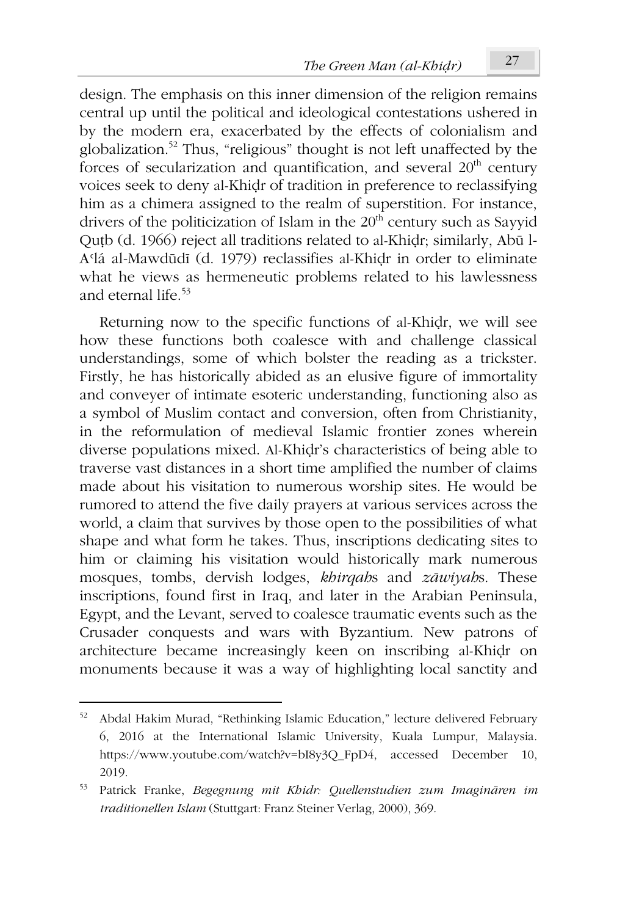design. The emphasis on this inner dimension of the religion remains central up until the political and ideological contestations ushered in by the modern era, exacerbated by the effects of colonialism and globalization.<sup>52</sup> Thus, "religious" thought is not left unaffected by the forces of secularization and quantification, and several  $20<sup>th</sup>$  century voices seek to deny al-Khiḍr of tradition in preference to reclassifying him as a chimera assigned to the realm of superstition. For instance, drivers of the politicization of Islam in the  $20<sup>th</sup>$  century such as Sayyid Quṭb (d. 1966) reject all traditions related to al-Khiḍr; similarly, Abū l-Aʿlá al-Mawdūdī (d. 1979) reclassifies al-Khiḍr in order to eliminate what he views as hermeneutic problems related to his lawlessness and eternal life. $53$ 

Returning now to the specific functions of al-Khiḍr, we will see how these functions both coalesce with and challenge classical understandings, some of which bolster the reading as a trickster. Firstly, he has historically abided as an elusive figure of immortality and conveyer of intimate esoteric understanding, functioning also as a symbol of Muslim contact and conversion, often from Christianity, in the reformulation of medieval Islamic frontier zones wherein diverse populations mixed. Al-Khiḍr's characteristics of being able to traverse vast distances in a short time amplified the number of claims made about his visitation to numerous worship sites. He would be rumored to attend the five daily prayers at various services across the world, a claim that survives by those open to the possibilities of what shape and what form he takes. Thus, inscriptions dedicating sites to him or claiming his visitation would historically mark numerous mosques, tombs, dervish lodges, *khirqah*s and *zāwiyah*s. These inscriptions, found first in Iraq, and later in the Arabian Peninsula, Egypt, and the Levant, served to coalesce traumatic events such as the Crusader conquests and wars with Byzantium. New patrons of architecture became increasingly keen on inscribing al-Khiḍr on monuments because it was a way of highlighting local sanctity and

<sup>52</sup> Abdal Hakim Murad, "Rethinking Islamic Education," lecture delivered February 6, 2016 at the International Islamic University, Kuala Lumpur, Malaysia. https://www.youtube.com/watch?v=bI8y3Q\_FpD4, accessed December 10, 2019.

<sup>53</sup> Patrick Franke, *Begegnung mit Khidr: Quellenstudien zum Imaginären im traditionellen Islam* (Stuttgart: Franz Steiner Verlag, 2000), 369.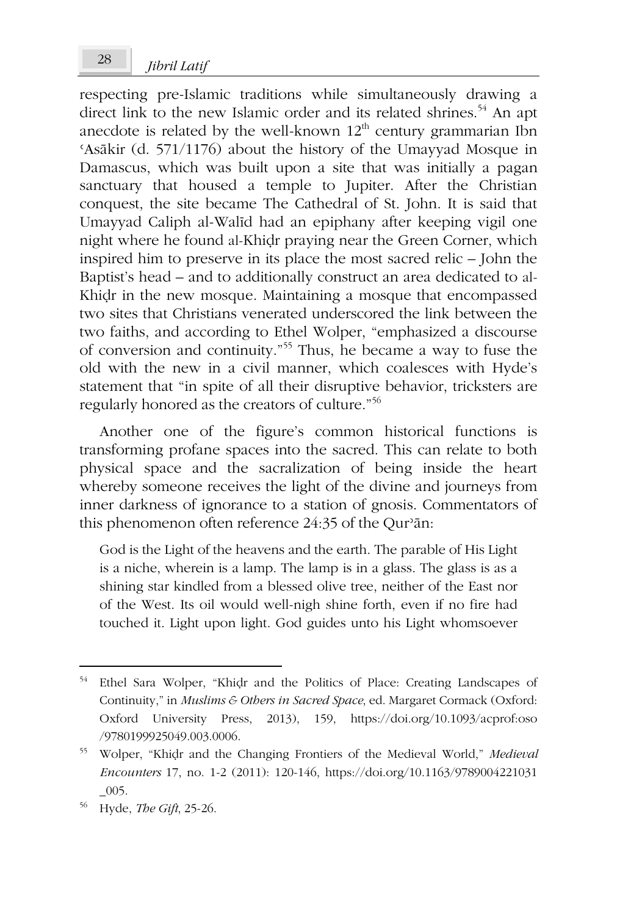respecting pre-Islamic traditions while simultaneously drawing a direct link to the new Islamic order and its related shrines.<sup>54</sup> An apt anecdote is related by the well-known  $12<sup>th</sup>$  century grammarian Ibn ʿAsākir (d. 571/1176) about the history of the Umayyad Mosque in Damascus, which was built upon a site that was initially a pagan sanctuary that housed a temple to Jupiter. After the Christian conquest, the site became The Cathedral of St. John. It is said that Umayyad Caliph al-Walīd had an epiphany after keeping vigil one night where he found al-Khiḍr praying near the Green Corner, which inspired him to preserve in its place the most sacred relic – John the Baptist's head – and to additionally construct an area dedicated to al-Khiḍr in the new mosque. Maintaining a mosque that encompassed two sites that Christians venerated underscored the link between the two faiths, and according to Ethel Wolper, "emphasized a discourse of conversion and continuity."<sup>55</sup> Thus, he became a way to fuse the old with the new in a civil manner, which coalesces with Hyde's statement that "in spite of all their disruptive behavior, tricksters are regularly honored as the creators of culture."<sup>56</sup>

Another one of the figure's common historical functions is transforming profane spaces into the sacred. This can relate to both physical space and the sacralization of being inside the heart whereby someone receives the light of the divine and journeys from inner darkness of ignorance to a station of gnosis. Commentators of this phenomenon often reference 24:35 of the Qurʾān:

God is the Light of the heavens and the earth. The parable of His Light is a niche, wherein is a lamp. The lamp is in a glass. The glass is as a shining star kindled from a blessed olive tree, neither of the East nor of the West. Its oil would well-nigh shine forth, even if no fire had touched it. Light upon light. God guides unto his Light whomsoever

<sup>54</sup> Ethel Sara Wolper, "Khiḍr and the Politics of Place: Creating Landscapes of Continuity," in *Muslims & Others in Sacred Space*, ed. Margaret Cormack (Oxford: Oxford University Press, 2013), 159, https://doi.org/10.1093/acprof:oso /9780199925049.003.0006.

<sup>55</sup> Wolper, "Khiḍr and the Changing Frontiers of the Medieval World," *Medieval Encounters* 17, no. 1-2 (2011): 120-146, https://doi.org/10.1163/9789004221031  $\_005$ .

<sup>56</sup> Hyde, *The Gift*, 25-26.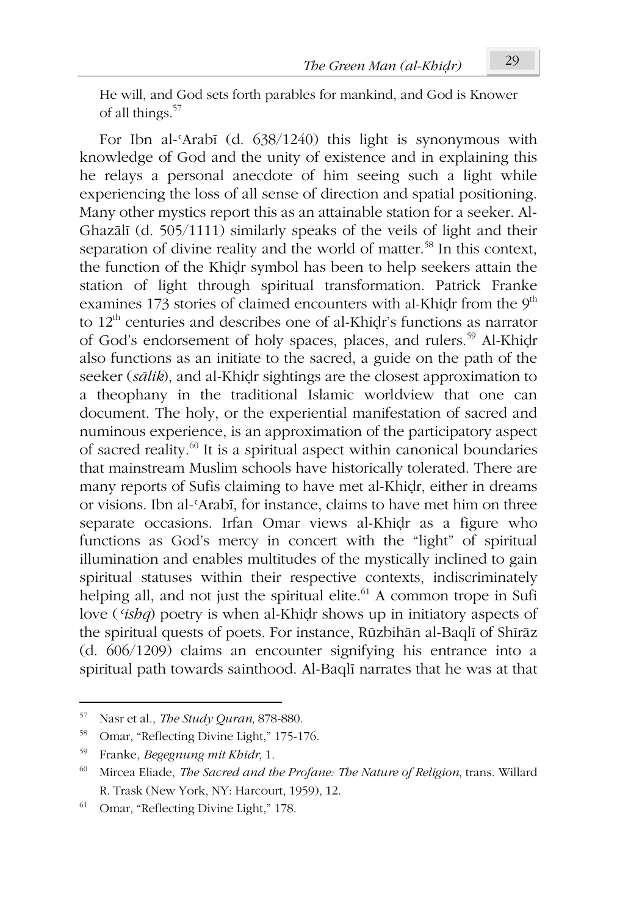He will, and God sets forth parables for mankind, and God is Knower of all things.<sup>57</sup>

For Ibn al-ʿArabī (d. 638/1240) this light is synonymous with knowledge of God and the unity of existence and in explaining this he relays a personal anecdote of him seeing such a light while experiencing the loss of all sense of direction and spatial positioning. Many other mystics report this as an attainable station for a seeker. Al-Ghazālī (d. 505/1111) similarly speaks of the veils of light and their separation of divine reality and the world of matter.<sup>58</sup> In this context, the function of the Khiḍr symbol has been to help seekers attain the station of light through spiritual transformation. Patrick Franke examines 173 stories of claimed encounters with al-Khidr from the  $9<sup>th</sup>$ to 12<sup>th</sup> centuries and describes one of al-Khidr's functions as narrator of God's endorsement of holy spaces, places, and rulers.<sup>59</sup> Al-Khidr also functions as an initiate to the sacred, a guide on the path of the seeker (*sālik*), and al-Khiḍr sightings are the closest approximation to a theophany in the traditional Islamic worldview that one can document. The holy, or the experiential manifestation of sacred and numinous experience, is an approximation of the participatory aspect of sacred reality.<sup>60</sup> It is a spiritual aspect within canonical boundaries that mainstream Muslim schools have historically tolerated. There are many reports of Sufis claiming to have met al-Khiḍr, either in dreams or visions. Ibn al-ʿArabī, for instance, claims to have met him on three separate occasions. Irfan Omar views al-Khiḍr as a figure who functions as God's mercy in concert with the "light" of spiritual illumination and enables multitudes of the mystically inclined to gain spiritual statuses within their respective contexts, indiscriminately helping all, and not just the spiritual elite.<sup>61</sup> A common trope in Sufi love (*ʿishq*) poetry is when al-Khiḍr shows up in initiatory aspects of the spiritual quests of poets. For instance, Rūzbihān al-Baqlī of Shīrāz (d. 606/1209) claims an encounter signifying his entrance into a spiritual path towards sainthood. Al-Baqlī narrates that he was at that

<sup>57</sup> Nasr et al., *The Study Quran*, 878-880.

<sup>58</sup> Omar, "Reflecting Divine Light," 175-176.

<sup>59</sup> Franke, *Begegnung mit Khidr*, 1.

<sup>60</sup> Mircea Eliade, *The Sacred and the Profane: The Nature of Religion*, trans. Willard R. Trask (New York, NY: Harcourt, 1959), 12.

<sup>61</sup> Omar, "Reflecting Divine Light," 178.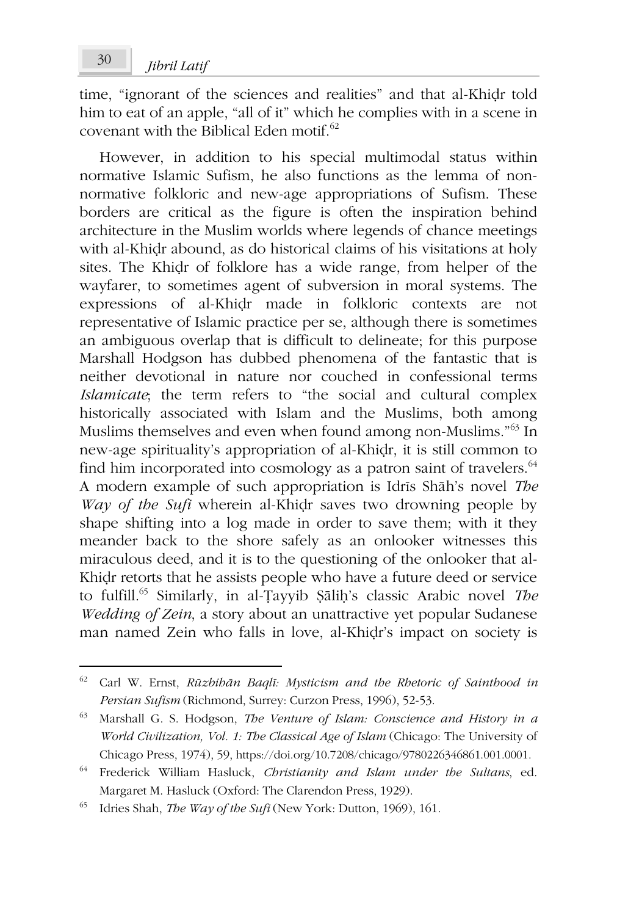time, "ignorant of the sciences and realities" and that al-Khiḍr told him to eat of an apple, "all of it" which he complies with in a scene in covenant with the Biblical Eden motif.<sup>62</sup>

However, in addition to his special multimodal status within normative Islamic Sufism, he also functions as the lemma of nonnormative folkloric and new-age appropriations of Sufism. These borders are critical as the figure is often the inspiration behind architecture in the Muslim worlds where legends of chance meetings with al-Khiḍr abound, as do historical claims of his visitations at holy sites. The Khiḍr of folklore has a wide range, from helper of the wayfarer, to sometimes agent of subversion in moral systems. The expressions of al-Khiḍr made in folkloric contexts are not representative of Islamic practice per se, although there is sometimes an ambiguous overlap that is difficult to delineate; for this purpose Marshall Hodgson has dubbed phenomena of the fantastic that is neither devotional in nature nor couched in confessional terms *Islamicate*; the term refers to "the social and cultural complex historically associated with Islam and the Muslims, both among Muslims themselves and even when found among non-Muslims."<sup>63</sup> In new-age spirituality's appropriation of al-Khiḍr, it is still common to find him incorporated into cosmology as a patron saint of travelers.  $64$ A modern example of such appropriation is Idrīs Shāh's novel *The Way of the Sufi* wherein al-Khiḍr saves two drowning people by shape shifting into a log made in order to save them; with it they meander back to the shore safely as an onlooker witnesses this miraculous deed, and it is to the questioning of the onlooker that al-Khiḍr retorts that he assists people who have a future deed or service to fulfill.<sup>65</sup> Similarly, in al-Ṭayyib Ṣāliḥ's classic Arabic novel *The Wedding of Zein*, a story about an unattractive yet popular Sudanese man named Zein who falls in love, al-Khiḍr's impact on society is

<sup>62</sup> Carl W. Ernst, *Rūzbihān Baqlī: Mysticism and the Rhetoric of Sainthood in Persian Sufism* (Richmond, Surrey: Curzon Press, 1996), 52-53.

<sup>63</sup> Marshall G. S. Hodgson, *The Venture of Islam: Conscience and History in a World Civilization, Vol. 1: The Classical Age of Islam* (Chicago: The University of Chicago Press, 1974), 59, https://doi.org/10.7208/chicago/9780226346861.001.0001.

<sup>64</sup> Frederick William Hasluck, *Christianity and Islam under the Sultans*, ed. Margaret M. Hasluck (Oxford: The Clarendon Press, 1929).

<sup>65</sup> Idries Shah, *The Way of the Sufi* (New York: Dutton, 1969), 161.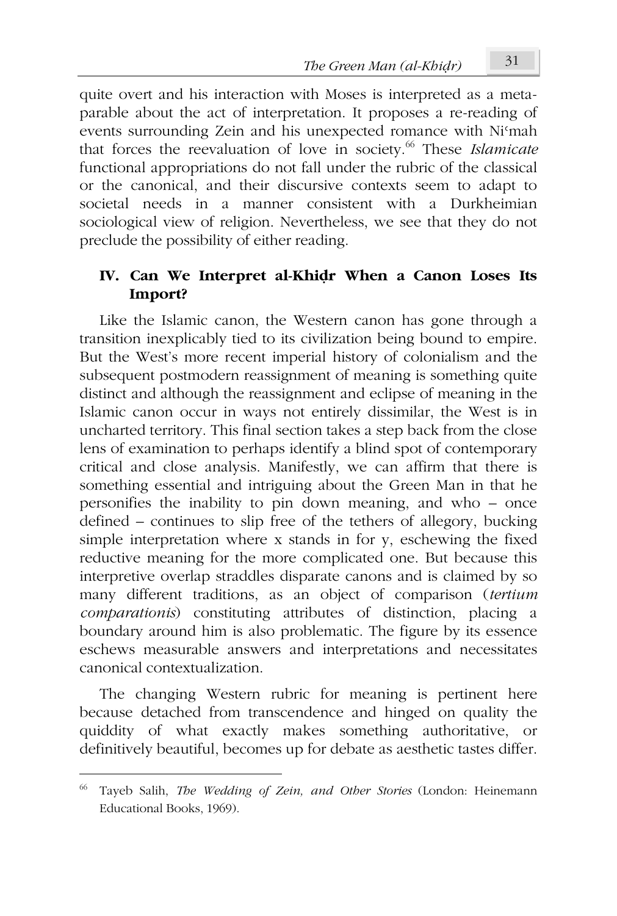quite overt and his interaction with Moses is interpreted as a metaparable about the act of interpretation. It proposes a re-reading of events surrounding Zein and his unexpected romance with Niʿmah that forces the reevaluation of love in society.<sup>66</sup> These *Islamicate* functional appropriations do not fall under the rubric of the classical or the canonical, and their discursive contexts seem to adapt to societal needs in a manner consistent with a Durkheimian sociological view of religion. Nevertheless, we see that they do not preclude the possibility of either reading.

### **IV. Can We Interpret al-Khiḍr When a Canon Loses Its Import?**

Like the Islamic canon, the Western canon has gone through a transition inexplicably tied to its civilization being bound to empire. But the West's more recent imperial history of colonialism and the subsequent postmodern reassignment of meaning is something quite distinct and although the reassignment and eclipse of meaning in the Islamic canon occur in ways not entirely dissimilar, the West is in uncharted territory. This final section takes a step back from the close lens of examination to perhaps identify a blind spot of contemporary critical and close analysis. Manifestly, we can affirm that there is something essential and intriguing about the Green Man in that he personifies the inability to pin down meaning, and who – once defined – continues to slip free of the tethers of allegory, bucking simple interpretation where x stands in for y, eschewing the fixed reductive meaning for the more complicated one. But because this interpretive overlap straddles disparate canons and is claimed by so many different traditions, as an object of comparison (*tertium comparationis*) constituting attributes of distinction, placing a boundary around him is also problematic. The figure by its essence eschews measurable answers and interpretations and necessitates canonical contextualization.

The changing Western rubric for meaning is pertinent here because detached from transcendence and hinged on quality the quiddity of what exactly makes something authoritative, or definitively beautiful, becomes up for debate as aesthetic tastes differ.

<sup>66</sup> Tayeb Salih, *The Wedding of Zein, and Other Stories* (London: Heinemann Educational Books, 1969).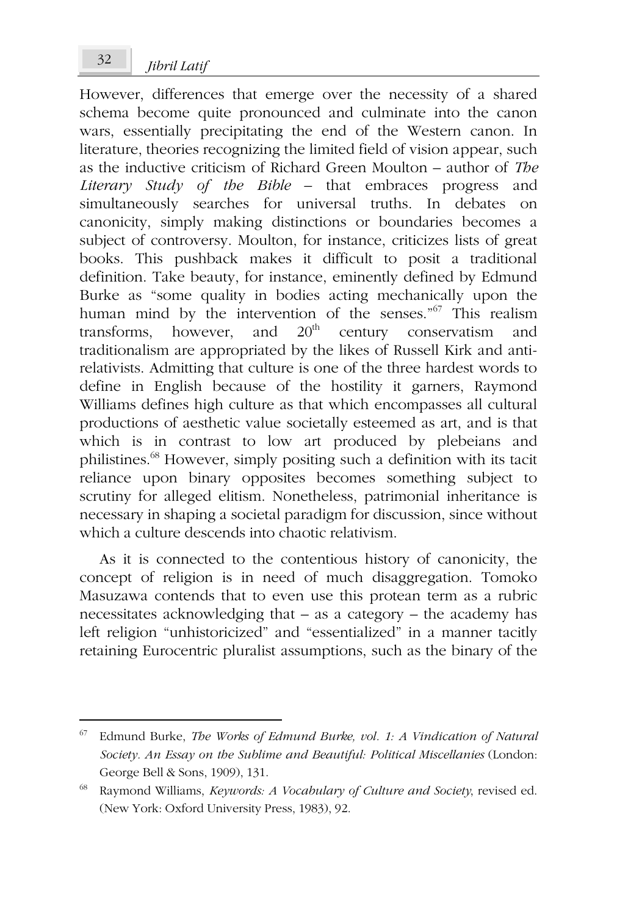However, differences that emerge over the necessity of a shared schema become quite pronounced and culminate into the canon wars, essentially precipitating the end of the Western canon. In literature, theories recognizing the limited field of vision appear, such as the inductive criticism of Richard Green Moulton – author of *The Literary Study of the Bible* – that embraces progress and simultaneously searches for universal truths. In debates on canonicity, simply making distinctions or boundaries becomes a subject of controversy. Moulton, for instance, criticizes lists of great books. This pushback makes it difficult to posit a traditional definition. Take beauty, for instance, eminently defined by Edmund Burke as "some quality in bodies acting mechanically upon the human mind by the intervention of the senses."<sup>67</sup> This realism transforms, however, and  $20<sup>th</sup>$  century conservatism and traditionalism are appropriated by the likes of Russell Kirk and antirelativists. Admitting that culture is one of the three hardest words to define in English because of the hostility it garners, Raymond Williams defines high culture as that which encompasses all cultural productions of aesthetic value societally esteemed as art, and is that which is in contrast to low art produced by plebeians and philistines.<sup>68</sup> However, simply positing such a definition with its tacit reliance upon binary opposites becomes something subject to scrutiny for alleged elitism. Nonetheless, patrimonial inheritance is necessary in shaping a societal paradigm for discussion, since without which a culture descends into chaotic relativism.

As it is connected to the contentious history of canonicity, the concept of religion is in need of much disaggregation. Tomoko Masuzawa contends that to even use this protean term as a rubric necessitates acknowledging that – as a category – the academy has left religion "unhistoricized" and "essentialized" in a manner tacitly retaining Eurocentric pluralist assumptions, such as the binary of the

<sup>67</sup> Edmund Burke, *The Works of Edmund Burke, vol. 1: A Vindication of Natural Society. An Essay on the Sublime and Beautiful: Political Miscellanies* (London: George Bell & Sons, 1909), 131.

<sup>68</sup> Raymond Williams, *Keywords: A Vocabulary of Culture and Society*, revised ed. (New York: Oxford University Press, 1983), 92.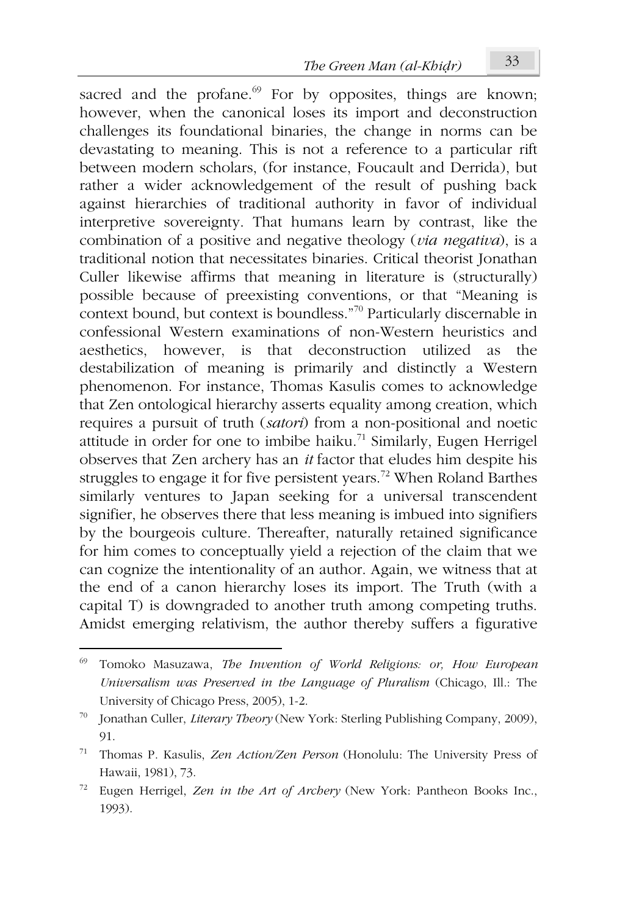sacred and the profane. $69$  For by opposites, things are known; however, when the canonical loses its import and deconstruction challenges its foundational binaries, the change in norms can be devastating to meaning. This is not a reference to a particular rift between modern scholars, (for instance, Foucault and Derrida), but rather a wider acknowledgement of the result of pushing back against hierarchies of traditional authority in favor of individual interpretive sovereignty. That humans learn by contrast, like the combination of a positive and negative theology (*via negativa*), is a traditional notion that necessitates binaries. Critical theorist Jonathan Culler likewise affirms that meaning in literature is (structurally) possible because of preexisting conventions, or that "Meaning is context bound, but context is boundless."<sup>70</sup> Particularly discernable in confessional Western examinations of non-Western heuristics and aesthetics, however, is that deconstruction utilized as the destabilization of meaning is primarily and distinctly a Western phenomenon. For instance, Thomas Kasulis comes to acknowledge that Zen ontological hierarchy asserts equality among creation, which requires a pursuit of truth (*satori*) from a non-positional and noetic attitude in order for one to imbibe haiku.<sup>71</sup> Similarly, Eugen Herrigel observes that Zen archery has an *it* factor that eludes him despite his struggles to engage it for five persistent years.<sup>72</sup> When Roland Barthes similarly ventures to Japan seeking for a universal transcendent signifier, he observes there that less meaning is imbued into signifiers by the bourgeois culture. Thereafter, naturally retained significance for him comes to conceptually yield a rejection of the claim that we can cognize the intentionality of an author. Again, we witness that at the end of a canon hierarchy loses its import. The Truth (with a capital T) is downgraded to another truth among competing truths. Amidst emerging relativism, the author thereby suffers a figurative

<sup>69</sup> Tomoko Masuzawa, *The Invention of World Religions: or, How European Universalism was Preserved in the Language of Pluralism* (Chicago, Ill.: The University of Chicago Press, 2005), 1-2.

<sup>70</sup> Jonathan Culler, *Literary Theory* (New York: Sterling Publishing Company, 2009), 91.

<sup>71</sup> Thomas P. Kasulis, *Zen Action/Zen Person* (Honolulu: The University Press of Hawaii, 1981), 73.

<sup>72</sup> Eugen Herrigel, *Zen in the Art of Archery* (New York: Pantheon Books Inc., 1993).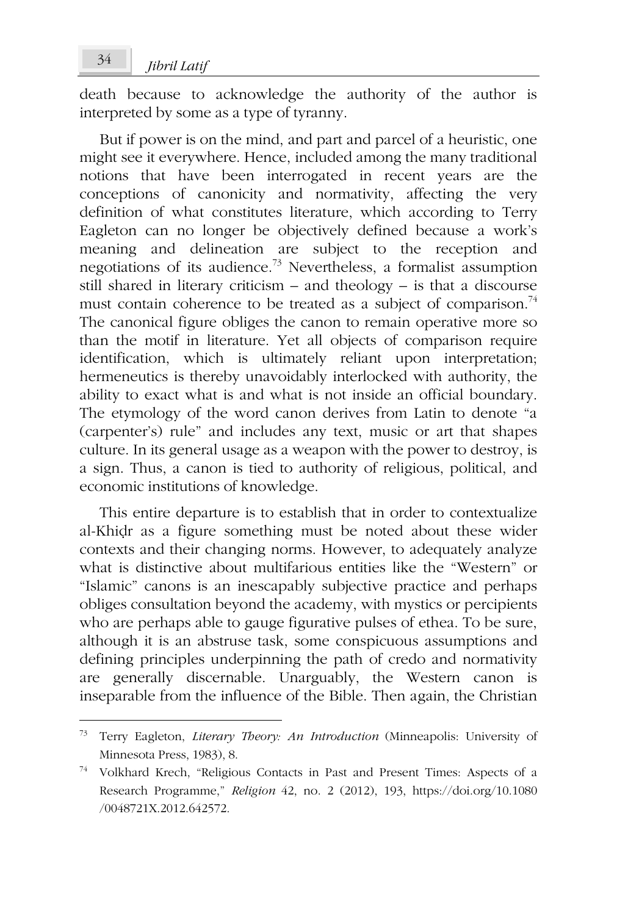death because to acknowledge the authority of the author is interpreted by some as a type of tyranny.

But if power is on the mind, and part and parcel of a heuristic, one might see it everywhere. Hence, included among the many traditional notions that have been interrogated in recent years are the conceptions of canonicity and normativity, affecting the very definition of what constitutes literature, which according to Terry Eagleton can no longer be objectively defined because a work's meaning and delineation are subject to the reception and negotiations of its audience.<sup>73</sup> Nevertheless, a formalist assumption still shared in literary criticism – and theology – is that a discourse must contain coherence to be treated as a subject of comparison.<sup>74</sup> The canonical figure obliges the canon to remain operative more so than the motif in literature. Yet all objects of comparison require identification, which is ultimately reliant upon interpretation; hermeneutics is thereby unavoidably interlocked with authority, the ability to exact what is and what is not inside an official boundary. The etymology of the word canon derives from Latin to denote "a (carpenter's) rule" and includes any text, music or art that shapes culture. In its general usage as a weapon with the power to destroy, is a sign. Thus, a canon is tied to authority of religious, political, and economic institutions of knowledge.

This entire departure is to establish that in order to contextualize al-Khiḍr as a figure something must be noted about these wider contexts and their changing norms. However, to adequately analyze what is distinctive about multifarious entities like the "Western" or "Islamic" canons is an inescapably subjective practice and perhaps obliges consultation beyond the academy, with mystics or percipients who are perhaps able to gauge figurative pulses of ethea. To be sure, although it is an abstruse task, some conspicuous assumptions and defining principles underpinning the path of credo and normativity are generally discernable. Unarguably, the Western canon is inseparable from the influence of the Bible. Then again, the Christian

<sup>73</sup> Terry Eagleton, *Literary Theory: An Introduction* (Minneapolis: University of Minnesota Press, 1983), 8.

<sup>74</sup> Volkhard Krech, "Religious Contacts in Past and Present Times: Aspects of a Research Programme," *Religion* 42, no. 2 (2012), 193, https://doi.org/10.1080 /0048721X.2012.642572.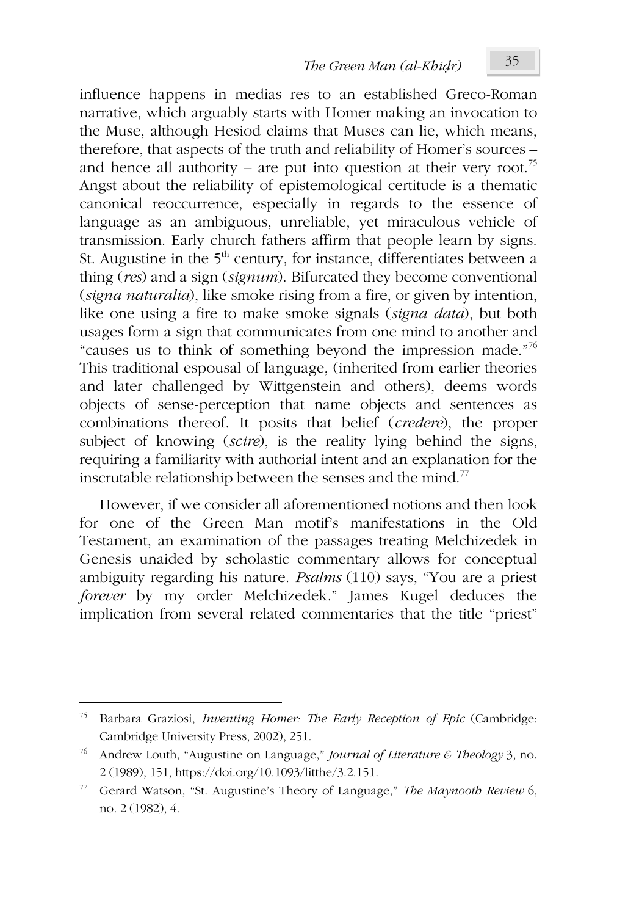influence happens in medias res to an established Greco-Roman narrative, which arguably starts with Homer making an invocation to the Muse, although Hesiod claims that Muses can lie, which means, therefore, that aspects of the truth and reliability of Homer's sources – and hence all authority – are put into question at their very root.<sup>75</sup> Angst about the reliability of epistemological certitude is a thematic canonical reoccurrence, especially in regards to the essence of language as an ambiguous, unreliable, yet miraculous vehicle of transmission. Early church fathers affirm that people learn by signs. St. Augustine in the  $5<sup>th</sup>$  century, for instance, differentiates between a thing (*res*) and a sign (*signum*). Bifurcated they become conventional (*signa naturalia*), like smoke rising from a fire, or given by intention, like one using a fire to make smoke signals (*signa data*), but both usages form a sign that communicates from one mind to another and "causes us to think of something beyond the impression made."<sup>76</sup> This traditional espousal of language, (inherited from earlier theories and later challenged by Wittgenstein and others), deems words objects of sense-perception that name objects and sentences as combinations thereof. It posits that belief (*credere*), the proper subject of knowing (*scire*), is the reality lying behind the signs, requiring a familiarity with authorial intent and an explanation for the inscrutable relationship between the senses and the mind.<sup>77</sup>

However, if we consider all aforementioned notions and then look for one of the Green Man motif's manifestations in the Old Testament, an examination of the passages treating Melchizedek in Genesis unaided by scholastic commentary allows for conceptual ambiguity regarding his nature. *Psalms* (110) says, "You are a priest *forever* by my order Melchizedek." James Kugel deduces the implication from several related commentaries that the title "priest"

<sup>75</sup> Barbara Graziosi, *Inventing Homer: The Early Reception of Epic* (Cambridge: Cambridge University Press, 2002), 251.

<sup>76</sup> Andrew Louth, "Augustine on Language," *Journal of Literature & Theology* 3, no. 2 (1989), 151, https://doi.org/10.1093/litthe/3.2.151.

<sup>77</sup> Gerard Watson, "St. Augustine's Theory of Language," *The Maynooth Review* 6, no. 2 (1982), 4.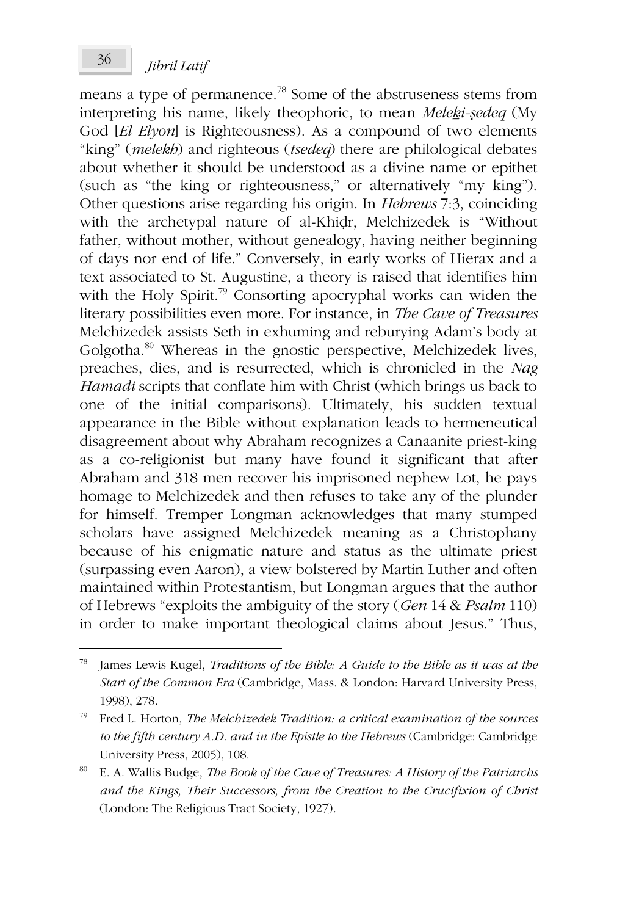means a type of permanence.<sup>78</sup> Some of the abstruseness stems from interpreting his name, likely theophoric, to mean *Meleḵi-ṣedeq* (My God [*El Elyon*] is Righteousness). As a compound of two elements "king" (*melekh*) and righteous (*tsedeq*) there are philological debates about whether it should be understood as a divine name or epithet (such as "the king or righteousness," or alternatively "my king"). Other questions arise regarding his origin. In *Hebrews* 7:3, coinciding with the archetypal nature of al-Khiḍr, Melchizedek is "Without father, without mother, without genealogy, having neither beginning of days nor end of life." Conversely, in early works of Hierax and a text associated to St. Augustine, a theory is raised that identifies him with the Holy Spirit.<sup>79</sup> Consorting apocryphal works can widen the literary possibilities even more. For instance, in *The Cave of Treasures* Melchizedek assists Seth in exhuming and reburying Adam's body at Golgotha.<sup>80</sup> Whereas in the gnostic perspective, Melchizedek lives, preaches, dies, and is resurrected, which is chronicled in the *Nag Hamadi* scripts that conflate him with Christ (which brings us back to one of the initial comparisons). Ultimately, his sudden textual appearance in the Bible without explanation leads to hermeneutical disagreement about why Abraham recognizes a Canaanite priest-king as a co-religionist but many have found it significant that after Abraham and 318 men recover his imprisoned nephew Lot, he pays homage to Melchizedek and then refuses to take any of the plunder for himself. Tremper Longman acknowledges that many stumped scholars have assigned Melchizedek meaning as a Christophany because of his enigmatic nature and status as the ultimate priest (surpassing even Aaron), a view bolstered by Martin Luther and often maintained within Protestantism, but Longman argues that the author of Hebrews "exploits the ambiguity of the story (*Gen* 14 & *Psalm* 110) in order to make important theological claims about Jesus." Thus,

<sup>78</sup> James Lewis Kugel, *Traditions of the Bible: A Guide to the Bible as it was at the Start of the Common Era* (Cambridge, Mass. & London: Harvard University Press, 1998), 278.

<sup>79</sup> Fred L. Horton, *The Melchizedek Tradition: a critical examination of the sources to the fifth century A.D. and in the Epistle to the Hebrews* (Cambridge: Cambridge University Press, 2005), 108.

<sup>80</sup> E. A. Wallis Budge, *The Book of the Cave of Treasures: A History of the Patriarchs and the Kings, Their Successors, from the Creation to the Crucifixion of Christ* (London: The Religious Tract Society, 1927).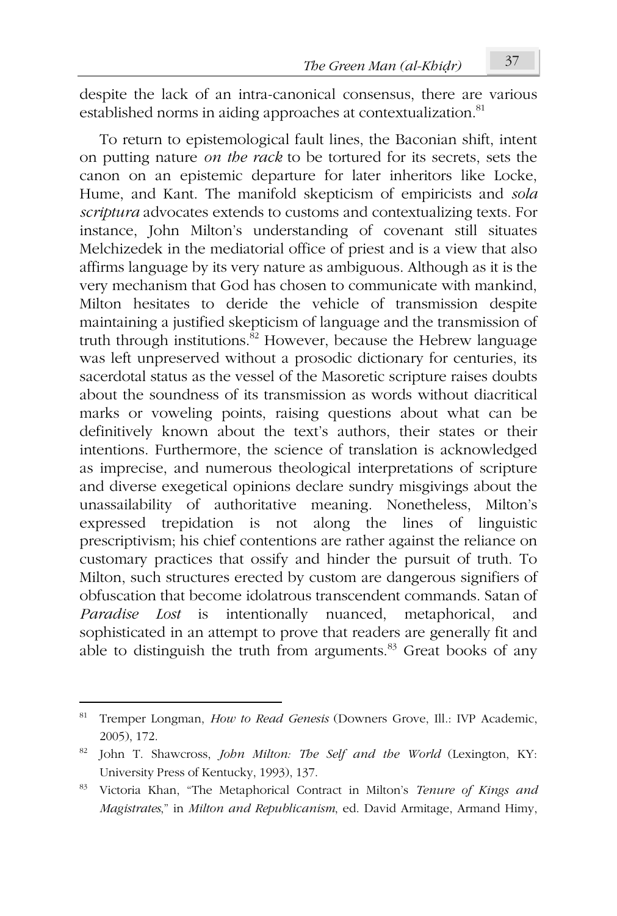despite the lack of an intra-canonical consensus, there are various established norms in aiding approaches at contextualization.<sup>81</sup>

To return to epistemological fault lines, the Baconian shift, intent on putting nature *on the rack* to be tortured for its secrets, sets the canon on an epistemic departure for later inheritors like Locke, Hume, and Kant. The manifold skepticism of empiricists and *sola scriptura* advocates extends to customs and contextualizing texts. For instance, John Milton's understanding of covenant still situates Melchizedek in the mediatorial office of priest and is a view that also affirms language by its very nature as ambiguous. Although as it is the very mechanism that God has chosen to communicate with mankind, Milton hesitates to deride the vehicle of transmission despite maintaining a justified skepticism of language and the transmission of truth through institutions. $82$  However, because the Hebrew language was left unpreserved without a prosodic dictionary for centuries, its sacerdotal status as the vessel of the Masoretic scripture raises doubts about the soundness of its transmission as words without diacritical marks or voweling points, raising questions about what can be definitively known about the text's authors, their states or their intentions. Furthermore, the science of translation is acknowledged as imprecise, and numerous theological interpretations of scripture and diverse exegetical opinions declare sundry misgivings about the unassailability of authoritative meaning. Nonetheless, Milton's expressed trepidation is not along the lines of linguistic prescriptivism; his chief contentions are rather against the reliance on customary practices that ossify and hinder the pursuit of truth. To Milton, such structures erected by custom are dangerous signifiers of obfuscation that become idolatrous transcendent commands. Satan of *Paradise Lost* is intentionally nuanced, metaphorical, and sophisticated in an attempt to prove that readers are generally fit and able to distinguish the truth from arguments. $83$  Great books of any

<sup>81</sup> Tremper Longman, *How to Read Genesis* (Downers Grove, Ill.: IVP Academic, 2005), 172.

<sup>82</sup> John T. Shawcross, *John Milton: The Self and the World* (Lexington, KY: University Press of Kentucky, 1993), 137.

<sup>83</sup> Victoria Khan, "The Metaphorical Contract in Milton's *Tenure of Kings and Magistrates*," in *Milton and Republicanism*, ed. David Armitage, Armand Himy,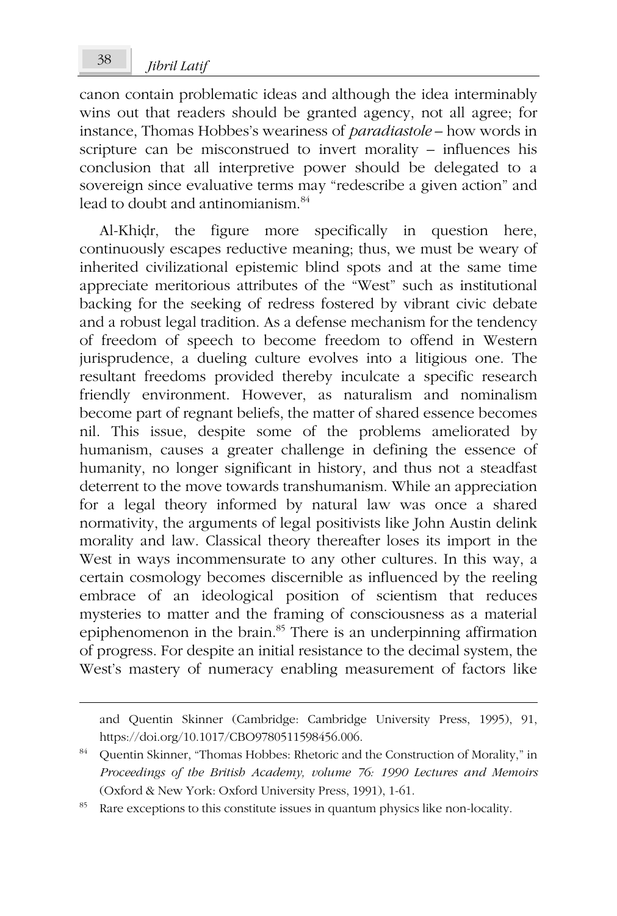# *Jibril Latif* <sup>38</sup>

canon contain problematic ideas and although the idea interminably wins out that readers should be granted agency, not all agree; for instance, Thomas Hobbes's weariness of *paradiastole* – how words in scripture can be misconstrued to invert morality – influences his conclusion that all interpretive power should be delegated to a sovereign since evaluative terms may "redescribe a given action" and lead to doubt and antinomianism.<sup>84</sup>

Al-Khiḍr, the figure more specifically in question here, continuously escapes reductive meaning; thus, we must be weary of inherited civilizational epistemic blind spots and at the same time appreciate meritorious attributes of the "West" such as institutional backing for the seeking of redress fostered by vibrant civic debate and a robust legal tradition. As a defense mechanism for the tendency of freedom of speech to become freedom to offend in Western jurisprudence, a dueling culture evolves into a litigious one. The resultant freedoms provided thereby inculcate a specific research friendly environment. However, as naturalism and nominalism become part of regnant beliefs, the matter of shared essence becomes nil. This issue, despite some of the problems ameliorated by humanism, causes a greater challenge in defining the essence of humanity, no longer significant in history, and thus not a steadfast deterrent to the move towards transhumanism. While an appreciation for a legal theory informed by natural law was once a shared normativity, the arguments of legal positivists like John Austin delink morality and law. Classical theory thereafter loses its import in the West in ways incommensurate to any other cultures. In this way, a certain cosmology becomes discernible as influenced by the reeling embrace of an ideological position of scientism that reduces mysteries to matter and the framing of consciousness as a material epiphenomenon in the brain.<sup>85</sup> There is an underpinning affirmation of progress. For despite an initial resistance to the decimal system, the West's mastery of numeracy enabling measurement of factors like

and Quentin Skinner (Cambridge: Cambridge University Press, 1995), 91, https://doi.org/10.1017/CBO9780511598456.006.

<sup>84</sup> Quentin Skinner, "Thomas Hobbes: Rhetoric and the Construction of Morality," in *Proceedings of the British Academy, volume 76: 1990 Lectures and Memoirs* (Oxford & New York: Oxford University Press, 1991), 1-61.

Rare exceptions to this constitute issues in quantum physics like non-locality.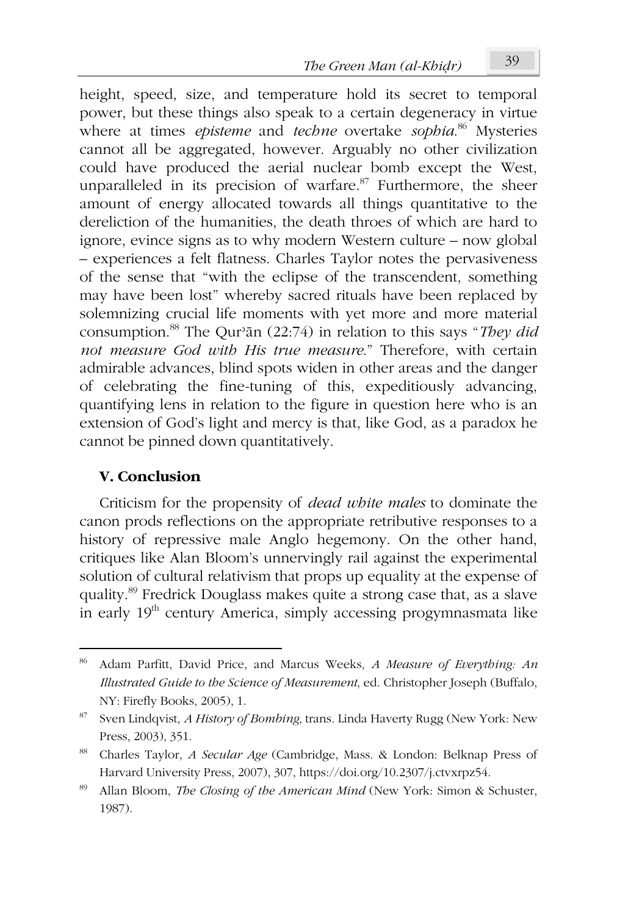height, speed, size, and temperature hold its secret to temporal power, but these things also speak to a certain degeneracy in virtue where at times *episteme* and *techne* overtake *sophia*. <sup>86</sup> Mysteries cannot all be aggregated, however. Arguably no other civilization could have produced the aerial nuclear bomb except the West, unparalleled in its precision of warfare.<sup>87</sup> Furthermore, the sheer amount of energy allocated towards all things quantitative to the dereliction of the humanities, the death throes of which are hard to ignore, evince signs as to why modern Western culture – now global – experiences a felt flatness. Charles Taylor notes the pervasiveness of the sense that "with the eclipse of the transcendent, something may have been lost" whereby sacred rituals have been replaced by solemnizing crucial life moments with yet more and more material consumption.<sup>88</sup> The Qurʾān (22:74) in relation to this says "*They did not measure God with His true measure*." Therefore, with certain admirable advances, blind spots widen in other areas and the danger of celebrating the fine-tuning of this, expeditiously advancing, quantifying lens in relation to the figure in question here who is an extension of God's light and mercy is that, like God, as a paradox he cannot be pinned down quantitatively.

### **V. Conclusion**

Criticism for the propensity of *dead white males* to dominate the canon prods reflections on the appropriate retributive responses to a history of repressive male Anglo hegemony. On the other hand, critiques like Alan Bloom's unnervingly rail against the experimental solution of cultural relativism that props up equality at the expense of quality.<sup>89</sup> Fredrick Douglass makes quite a strong case that, as a slave in early  $19<sup>th</sup>$  century America, simply accessing progymnasmata like

<sup>86</sup> Adam Parfitt, David Price, and Marcus Weeks, *A Measure of Everything: An Illustrated Guide to the Science of Measurement*, ed. Christopher Joseph (Buffalo, NY: Firefly Books, 2005), 1.

<sup>87</sup> Sven Lindqvist, *A History of Bombing*, trans. Linda Haverty Rugg (New York: New Press, 2003), 351.

<sup>88</sup> Charles Taylor, *A Secular Age* (Cambridge, Mass. & London: Belknap Press of Harvard University Press, 2007), 307, https://doi.org/10.2307/j.ctvxrpz54.

<sup>89</sup> Allan Bloom, *The Closing of the American Mind* (New York: Simon & Schuster, 1987).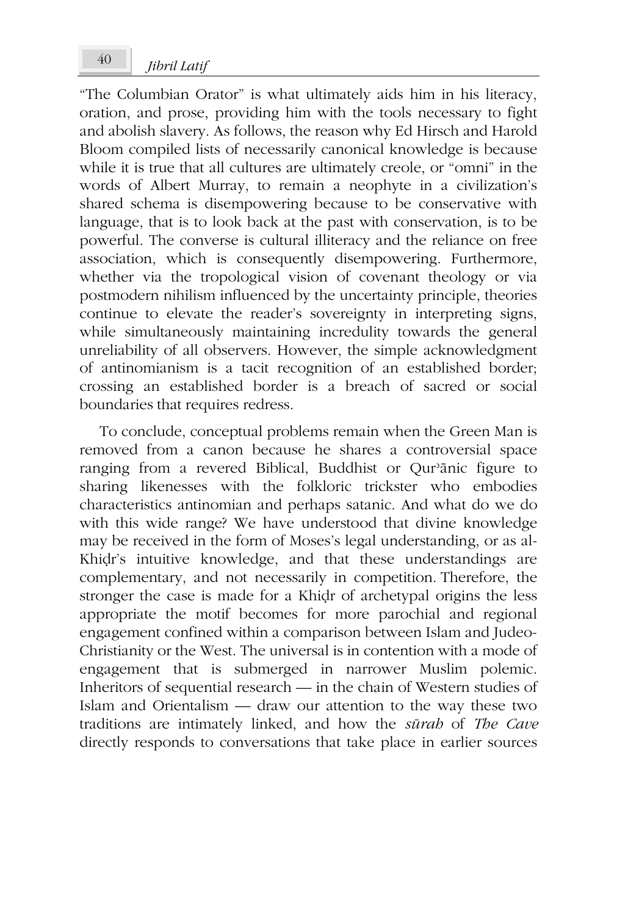"The Columbian Orator" is what ultimately aids him in his literacy, oration, and prose, providing him with the tools necessary to fight and abolish slavery. As follows, the reason why Ed Hirsch and Harold Bloom compiled lists of necessarily canonical knowledge is because while it is true that all cultures are ultimately creole, or "omni" in the words of Albert Murray, to remain a neophyte in a civilization's shared schema is disempowering because to be conservative with language, that is to look back at the past with conservation, is to be powerful. The converse is cultural illiteracy and the reliance on free association, which is consequently disempowering. Furthermore, whether via the tropological vision of covenant theology or via postmodern nihilism influenced by the uncertainty principle, theories continue to elevate the reader's sovereignty in interpreting signs, while simultaneously maintaining incredulity towards the general unreliability of all observers. However, the simple acknowledgment of antinomianism is a tacit recognition of an established border; crossing an established border is a breach of sacred or social boundaries that requires redress.

To conclude, conceptual problems remain when the Green Man is removed from a canon because he shares a controversial space ranging from a revered Biblical, Buddhist or Qurʾānic figure to sharing likenesses with the folkloric trickster who embodies characteristics antinomian and perhaps satanic. And what do we do with this wide range? We have understood that divine knowledge may be received in the form of Moses's legal understanding, or as al-Khiḍr's intuitive knowledge, and that these understandings are complementary, and not necessarily in competition. Therefore, the stronger the case is made for a Khiḍr of archetypal origins the less appropriate the motif becomes for more parochial and regional engagement confined within a comparison between Islam and Judeo-Christianity or the West. The universal is in contention with a mode of engagement that is submerged in narrower Muslim polemic. Inheritors of sequential research — in the chain of Western studies of Islam and Orientalism — draw our attention to the way these two traditions are intimately linked, and how the *sūrah* of *The Cave* directly responds to conversations that take place in earlier sources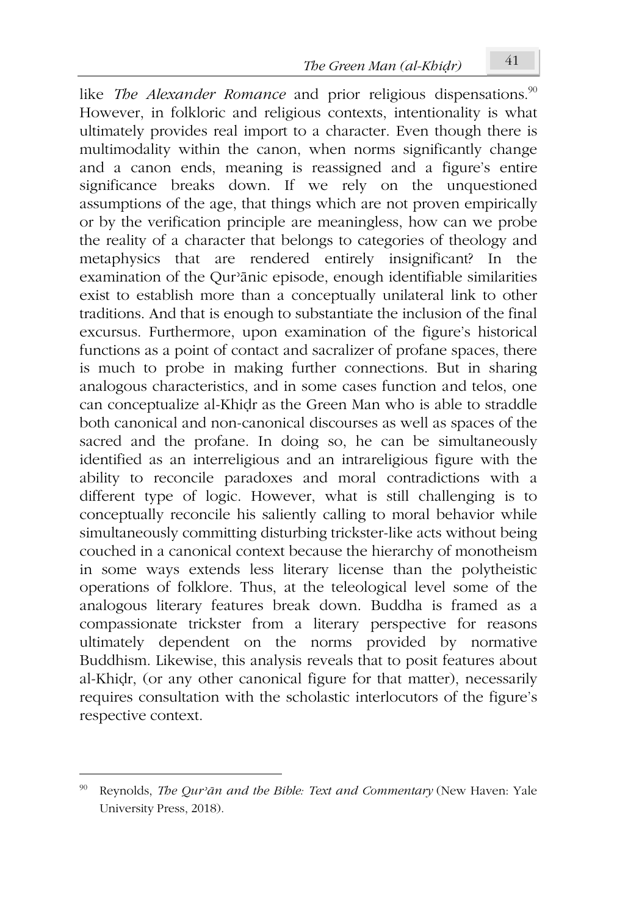like *The Alexander Romance* and prior religious dispensations.<sup>90</sup> However, in folkloric and religious contexts, intentionality is what ultimately provides real import to a character. Even though there is multimodality within the canon, when norms significantly change and a canon ends, meaning is reassigned and a figure's entire significance breaks down. If we rely on the unquestioned assumptions of the age, that things which are not proven empirically or by the verification principle are meaningless, how can we probe the reality of a character that belongs to categories of theology and metaphysics that are rendered entirely insignificant? In the examination of the Qurʾānic episode, enough identifiable similarities exist to establish more than a conceptually unilateral link to other traditions. And that is enough to substantiate the inclusion of the final excursus. Furthermore, upon examination of the figure's historical functions as a point of contact and sacralizer of profane spaces, there is much to probe in making further connections. But in sharing analogous characteristics, and in some cases function and telos, one can conceptualize al-Khiḍr as the Green Man who is able to straddle both canonical and non-canonical discourses as well as spaces of the sacred and the profane. In doing so, he can be simultaneously identified as an interreligious and an intrareligious figure with the ability to reconcile paradoxes and moral contradictions with a different type of logic. However, what is still challenging is to conceptually reconcile his saliently calling to moral behavior while simultaneously committing disturbing trickster-like acts without being couched in a canonical context because the hierarchy of monotheism in some ways extends less literary license than the polytheistic operations of folklore. Thus, at the teleological level some of the analogous literary features break down. Buddha is framed as a compassionate trickster from a literary perspective for reasons ultimately dependent on the norms provided by normative Buddhism. Likewise, this analysis reveals that to posit features about al-Khiḍr, (or any other canonical figure for that matter), necessarily requires consultation with the scholastic interlocutors of the figure's respective context.

<sup>90</sup> Reynolds, *The Qurʾān and the Bible: Text and Commentary* (New Haven: Yale University Press, 2018).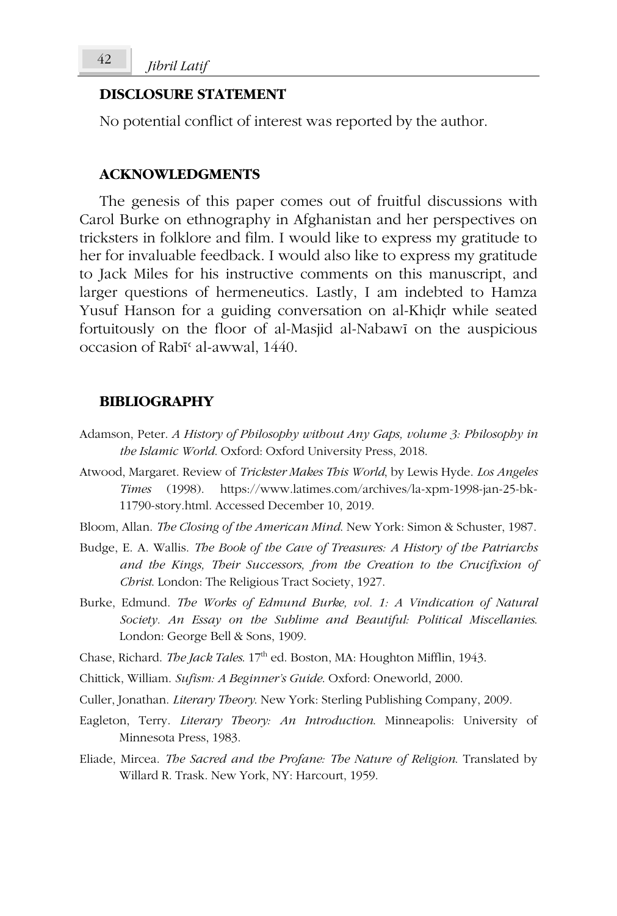### **DISCLOSURE STATEMENT**

No potential conflict of interest was reported by the author.

#### **ACKNOWLEDGMENTS**

The genesis of this paper comes out of fruitful discussions with Carol Burke on ethnography in Afghanistan and her perspectives on tricksters in folklore and film. I would like to express my gratitude to her for invaluable feedback. I would also like to express my gratitude to Jack Miles for his instructive comments on this manuscript, and larger questions of hermeneutics. Lastly, I am indebted to Hamza Yusuf Hanson for a guiding conversation on al-Khiḍr while seated fortuitously on the floor of al-Masjid al-Nabawī on the auspicious occasion of Rabīʿ al-awwal, 1440.

#### **BIBLIOGRAPHY**

- Adamson, Peter. *A History of Philosophy without Any Gaps, volume 3: Philosophy in the Islamic World*. Oxford: Oxford University Press, 2018.
- Atwood, Margaret. Review of *Trickster Makes This World*, by Lewis Hyde. *Los Angeles Times* (1998). https://www.latimes.com/archives/la-xpm-1998-jan-25-bk-11790-story.html. Accessed December 10, 2019.
- Bloom, Allan. *The Closing of the American Mind*. New York: Simon & Schuster, 1987.
- Budge, E. A. Wallis. *The Book of the Cave of Treasures: A History of the Patriarchs and the Kings, Their Successors, from the Creation to the Crucifixion of Christ*. London: The Religious Tract Society, 1927.
- Burke, Edmund. *The Works of Edmund Burke, vol. 1: A Vindication of Natural Society. An Essay on the Sublime and Beautiful: Political Miscellanies*. London: George Bell & Sons, 1909.
- Chase, Richard. *The Jack Tales*. 17<sup>th</sup> ed. Boston, MA: Houghton Mifflin, 1943.
- Chittick, William. *Sufism: A Beginner's Guide*. Oxford: Oneworld, 2000.
- Culler, Jonathan. *Literary Theory*. New York: Sterling Publishing Company, 2009.
- Eagleton, Terry. *Literary Theory: An Introduction*. Minneapolis: University of Minnesota Press, 1983.
- Eliade, Mircea. *The Sacred and the Profane: The Nature of Religion*. Translated by Willard R. Trask. New York, NY: Harcourt, 1959.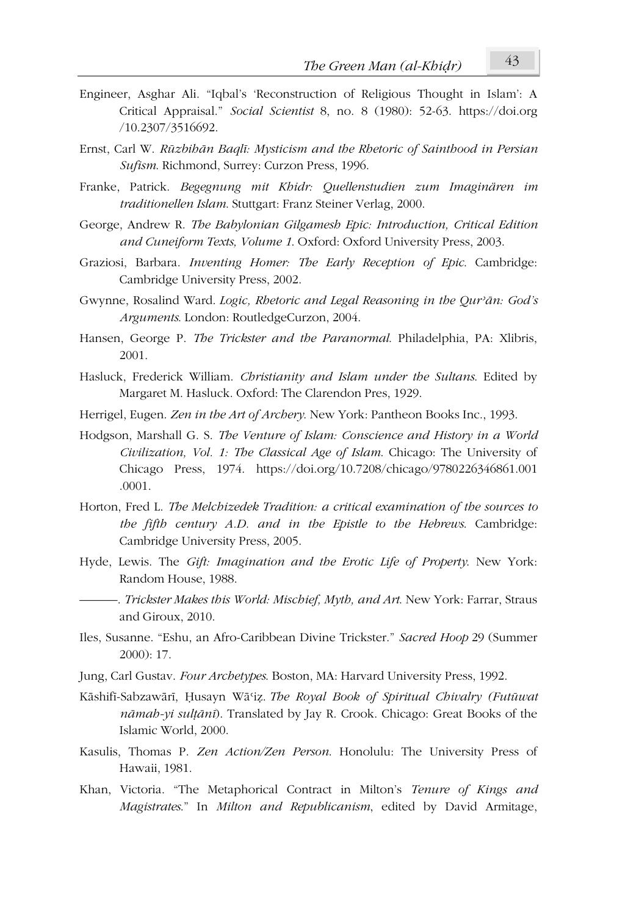- Engineer, Asghar Ali. "Iqbal's 'Reconstruction of Religious Thought in Islam': A Critical Appraisal." *Social Scientist* 8, no. 8 (1980): 52-63. https://doi.org /10.2307/3516692.
- Ernst, Carl W. *Rūzbihān Baqlī: Mysticism and the Rhetoric of Sainthood in Persian Sufism*. Richmond, Surrey: Curzon Press, 1996.
- Franke, Patrick. *Begegnung mit Khidr: Quellenstudien zum Imaginären im traditionellen Islam*. Stuttgart: Franz Steiner Verlag, 2000.
- George, Andrew R. *The Babylonian Gilgamesh Epic: Introduction, Critical Edition and Cuneiform Texts, Volume 1*. Oxford: Oxford University Press, 2003.
- Graziosi, Barbara. *Inventing Homer: The Early Reception of Epic*. Cambridge: Cambridge University Press, 2002.
- Gwynne, Rosalind Ward. *Logic, Rhetoric and Legal Reasoning in the Qurʾān: God's Arguments*. London: RoutledgeCurzon, 2004.
- Hansen, George P. *The Trickster and the Paranormal*. Philadelphia, PA: Xlibris, 2001.
- Hasluck, Frederick William. *Christianity and Islam under the Sultans*. Edited by Margaret M. Hasluck. Oxford: The Clarendon Pres, 1929.
- Herrigel, Eugen. *Zen in the Art of Archery*. New York: Pantheon Books Inc., 1993.
- Hodgson, Marshall G. S. *The Venture of Islam: Conscience and History in a World Civilization, Vol. 1: The Classical Age of Islam*. Chicago: The University of Chicago Press, 1974. https://doi.org/10.7208/chicago/9780226346861.001 .0001.
- Horton, Fred L. *The Melchizedek Tradition: a critical examination of the sources to the fifth century A.D. and in the Epistle to the Hebrews*. Cambridge: Cambridge University Press, 2005.
- Hyde, Lewis. The *Gift: Imagination and the Erotic Life of Property*. New York: Random House, 1988.
	- ———. *Trickster Makes this World: Mischief, Myth, and Art*. New York: Farrar, Straus and Giroux, 2010.
- Iles, Susanne. "Eshu, an Afro-Caribbean Divine Trickster." *Sacred Hoop* 29 (Summer 2000): 17.
- Jung, Carl Gustav. *Four Archetypes*. Boston, MA: Harvard University Press, 1992.
- Kāshifī-Sabzawārī, Ḥusayn Wāʿiẓ. *The Royal Book of Spiritual Chivalry (Futūwat nāmah-yi sulṭānī*). Translated by Jay R. Crook. Chicago: Great Books of the Islamic World, 2000.
- Kasulis, Thomas P. *Zen Action/Zen Person*. Honolulu: The University Press of Hawaii, 1981.
- Khan, Victoria. "The Metaphorical Contract in Milton's *Tenure of Kings and Magistrates*." In *Milton and Republicanism*, edited by David Armitage,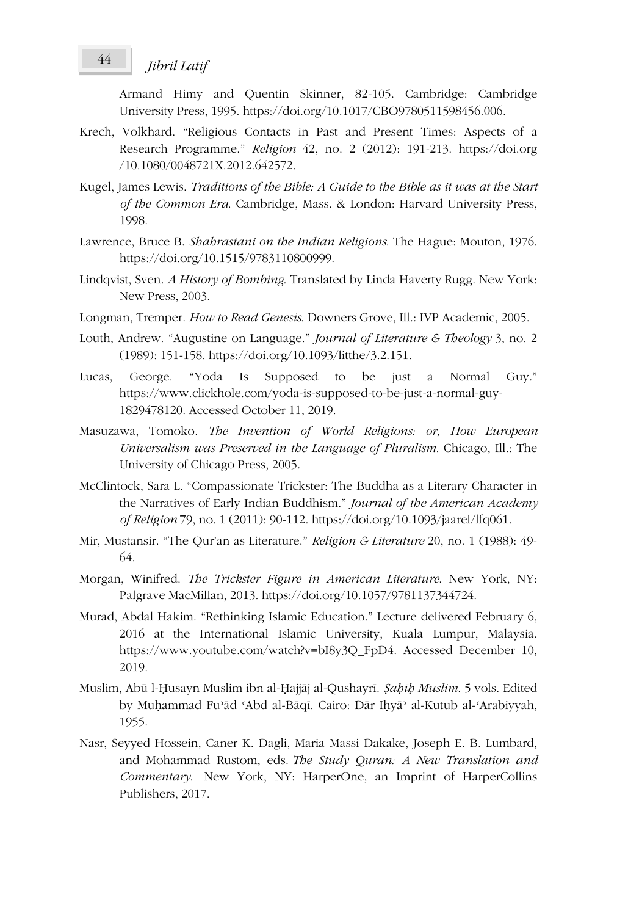Armand Himy and Quentin Skinner, 82-105. Cambridge: Cambridge University Press, 1995. https://doi.org/10.1017/CBO9780511598456.006.

- Krech, Volkhard. "Religious Contacts in Past and Present Times: Aspects of a Research Programme." *Religion* 42, no. 2 (2012): 191-213. https://doi.org /10.1080/0048721X.2012.642572.
- Kugel, James Lewis. *Traditions of the Bible: A Guide to the Bible as it was at the Start of the Common Era*. Cambridge, Mass. & London: Harvard University Press, 1998.
- Lawrence, Bruce B. *Shahrastani on the Indian Religions*. The Hague: Mouton, 1976. https://doi.org/10.1515/9783110800999.
- Lindqvist, Sven. *A History of Bombing*. Translated by Linda Haverty Rugg. New York: New Press, 2003.
- Longman, Tremper. *How to Read Genesis*. Downers Grove, Ill.: IVP Academic, 2005.
- Louth, Andrew. "Augustine on Language." *Journal of Literature & Theology* 3, no. 2 (1989): 151-158. https://doi.org/10.1093/litthe/3.2.151.
- Lucas, George. "Yoda Is Supposed to be just a Normal Guy." https://www.clickhole.com/yoda-is-supposed-to-be-just-a-normal-guy-1829478120. Accessed October 11, 2019.
- Masuzawa, Tomoko. *The Invention of World Religions: or, How European Universalism was Preserved in the Language of Pluralism*. Chicago, Ill.: The University of Chicago Press, 2005.
- McClintock, Sara L. "Compassionate Trickster: The Buddha as a Literary Character in the Narratives of Early Indian Buddhism." *Journal of the American Academy of Religion* 79, no. 1 (2011): 90-112. https://doi.org/10.1093/jaarel/lfq061.
- Mir, Mustansir. "The Qur'an as Literature." *Religion & Literature* 20, no. 1 (1988): 49- 64.
- Morgan, Winifred. *The Trickster Figure in American Literature*. New York, NY: Palgrave MacMillan, 2013. https://doi.org/10.1057/9781137344724.
- Murad, Abdal Hakim. "Rethinking Islamic Education." Lecture delivered February 6, 2016 at the International Islamic University, Kuala Lumpur, Malaysia. https://www.youtube.com/watch?v=bI8y3Q\_FpD4. Accessed December 10, 2019.
- Muslim, Abū l-Ḥusayn Muslim ibn al-Ḥajjāj al-Qushayrī. *Ṣaḥīḥ Muslim*. 5 vols. Edited by Muḥammad Fuʾād ʿAbd al-Bāqī. Cairo: Dār Iḥyāʾ al-Kutub al-ʿArabiyyah, 1955.
- Nasr, Seyyed Hossein, Caner K. Dagli, Maria Massi Dakake, Joseph E. B. Lumbard, and Mohammad Rustom, eds. *The Study Quran: A New Translation and Commentary*. New York, NY: HarperOne, an Imprint of HarperCollins Publishers, 2017.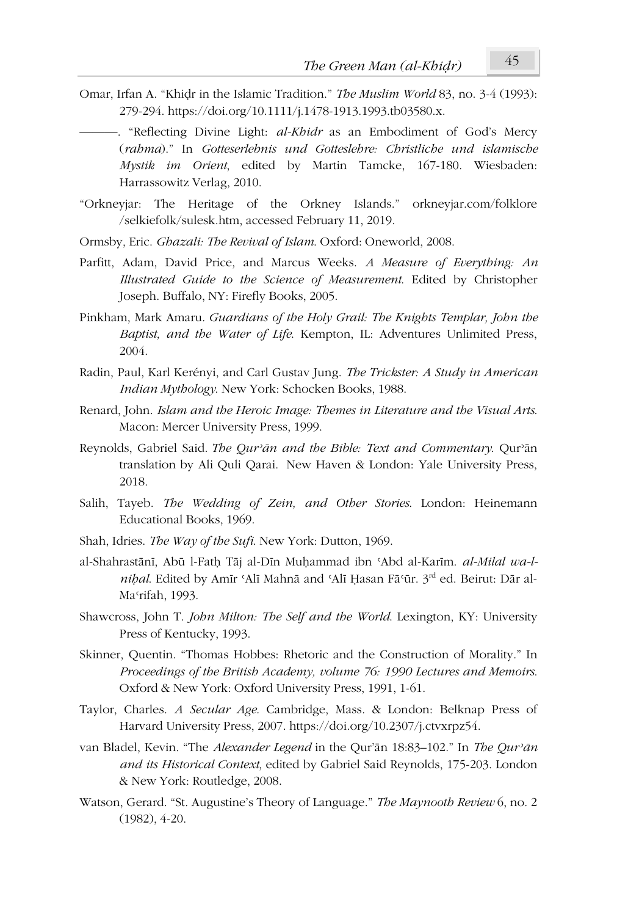- Omar, Irfan A. "Khiḍr in the Islamic Tradition." *The Muslim World* 83, no. 3-4 (1993): 279-294. https://doi.org/10.1111/j.1478-1913.1993.tb03580.x.
	- ———. "Reflecting Divine Light: *al-Khidr* as an Embodiment of God's Mercy (*rahma*)." In *Gotteserlebnis und Gotteslehre: Christliche und islamische Mystik im Orient*, edited by Martin Tamcke, 167-180. Wiesbaden: Harrassowitz Verlag, 2010.
- "Orkneyjar: The Heritage of the Orkney Islands." orkneyjar.com/folklore /selkiefolk/sulesk.htm, accessed February 11, 2019.
- Ormsby, Eric. *Ghazali: The Revival of Islam*. Oxford: Oneworld, 2008.
- Parfitt, Adam, David Price, and Marcus Weeks. *A Measure of Everything: An Illustrated Guide to the Science of Measurement*. Edited by Christopher Joseph. Buffalo, NY: Firefly Books, 2005.
- Pinkham, Mark Amaru. *Guardians of the Holy Grail: The Knights Templar, John the Baptist, and the Water of Life*. Kempton, IL: Adventures Unlimited Press, 2004.
- Radin, Paul, Karl Kerényi, and Carl Gustav Jung. *The Trickster: A Study in American Indian Mythology*. New York: Schocken Books, 1988.
- Renard, John. *Islam and the Heroic Image: Themes in Literature and the Visual Arts*. Macon: Mercer University Press, 1999.
- Reynolds, Gabriel Said. *The Qurʾān and the Bible: Text and Commentary*. Qurʾān translation by Ali Quli Qarai. New Haven & London: Yale University Press, 2018.
- Salih, Tayeb. *The Wedding of Zein, and Other Stories*. London: Heinemann Educational Books, 1969.
- Shah, Idries. *The Way of the Sufi*. New York: Dutton, 1969.
- al-Shahrastānī, Abū l-Fath Tāj al-Dīn Muhammad ibn 'Abd al-Karīm. *al-Milal wa-lniḥal*. Edited by Amīr ʿAlī Mahnā and ʿAlī Ḥasan Fāʿūr. 3rd ed. Beirut: Dār al-Maʿrifah, 1993.
- Shawcross, John T. *John Milton: The Self and the World*. Lexington, KY: University Press of Kentucky, 1993.
- Skinner, Quentin. "Thomas Hobbes: Rhetoric and the Construction of Morality." In *Proceedings of the British Academy, volume 76: 1990 Lectures and Memoirs*. Oxford & New York: Oxford University Press, 1991, 1-61.
- Taylor, Charles. *A Secular Age*. Cambridge, Mass. & London: Belknap Press of Harvard University Press, 2007. https://doi.org/10.2307/j.ctvxrpz54.
- van Bladel, Kevin. "The *Alexander Legend* in the Qur'ān 18:83–102." In *The Qurʾān and its Historical Context*, edited by Gabriel Said Reynolds, 175-203. London & New York: Routledge, 2008.
- Watson, Gerard. "St. Augustine's Theory of Language." *The Maynooth Review* 6, no. 2 (1982), 4-20.